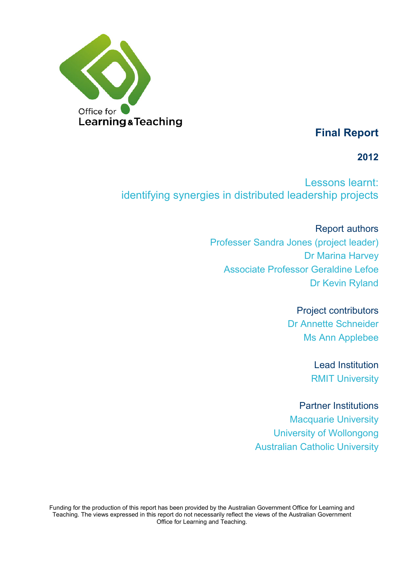

# **Final Report**

# **2012**

Lessons learnt: identifying synergies in distributed leadership projects

> Report authors Professer Sandra Jones (project leader) Dr Marina Harvey Associate Professor Geraldine Lefoe Dr Kevin Ryland

> > Project contributors

Dr Annette Schneider Ms Ann Applebee

> Lead Institution RMIT University

Partner Institutions

Macquarie University University of Wollongong Australian Catholic University

Funding for the production of this report has been provided by the Australian Government Office for Learning and Teaching. The views expressed in this report do not necessarily reflect the views of the Australian Government Office for Learning and Teaching.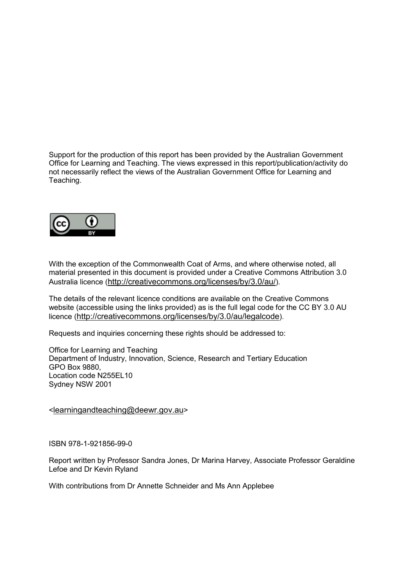Support for the production of this report has been provided by the Australian Government Office for Learning and Teaching. The views expressed in this report/publication/activity do not necessarily reflect the views of the Australian Government Office for Learning and Teaching.



With the exception of the Commonwealth Coat of Arms, and where otherwise noted, all material presented in this document is provided under a Creative Commons Attribution 3.0 Australia licence [\(http://creativecommons.org/licenses/by/3.0/au/\)](http://creativecommons.org/licenses/by/3.0/au/).

The details of the relevant licence conditions are available on the Creative Commons website (accessible using the links provided) as is the full legal code for the CC BY 3.0 AU licence [\(http://creativecommons.org/licenses/by/3.0/au/legalcode\)](http://creativecommons.org/licenses/by/3.0/au/legalcode).

Requests and inquiries concerning these rights should be addressed to:

Office for Learning and Teaching Department of Industry, Innovation, Science, Research and Tertiary Education GPO Box 9880, Location code N255EL10 Sydney NSW 2001

[<learningandteaching@deewr.gov.au>](mailto:learningandteaching@deewr.gov.au)

ISBN 978-1-921856-99-0

Report written by Professor Sandra Jones, Dr Marina Harvey, Associate Professor Geraldine Lefoe and Dr Kevin Ryland

With contributions from Dr Annette Schneider and Ms Ann Applebee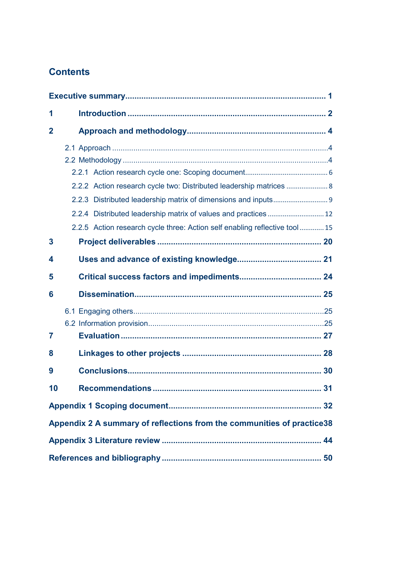# **Contents**

| 1                |                                                                            |  |
|------------------|----------------------------------------------------------------------------|--|
| $\overline{2}$   |                                                                            |  |
|                  |                                                                            |  |
|                  |                                                                            |  |
|                  |                                                                            |  |
|                  | 2.2.2 Action research cycle two: Distributed leadership matrices  8        |  |
|                  |                                                                            |  |
|                  |                                                                            |  |
|                  | 2.2.5 Action research cycle three: Action self enabling reflective tool 15 |  |
| $\boldsymbol{3}$ |                                                                            |  |
| 4                |                                                                            |  |
| 5                |                                                                            |  |
| 6                |                                                                            |  |
|                  |                                                                            |  |
|                  |                                                                            |  |
| 7                |                                                                            |  |
| 8                |                                                                            |  |
| 9                |                                                                            |  |
| 10               |                                                                            |  |
|                  |                                                                            |  |
|                  | Appendix 2 A summary of reflections from the communities of practice38     |  |
|                  |                                                                            |  |
|                  |                                                                            |  |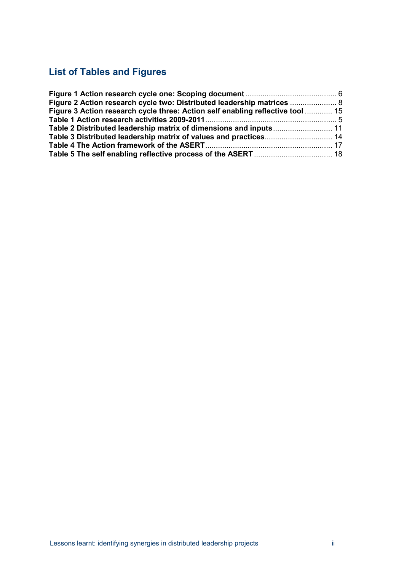# **List of Tables and Figures**

| Figure 2 Action research cycle two: Distributed leadership matrices  8         |  |
|--------------------------------------------------------------------------------|--|
| Figure 3 Action research cycle three: Action self enabling reflective tool  15 |  |
|                                                                                |  |
|                                                                                |  |
|                                                                                |  |
|                                                                                |  |
|                                                                                |  |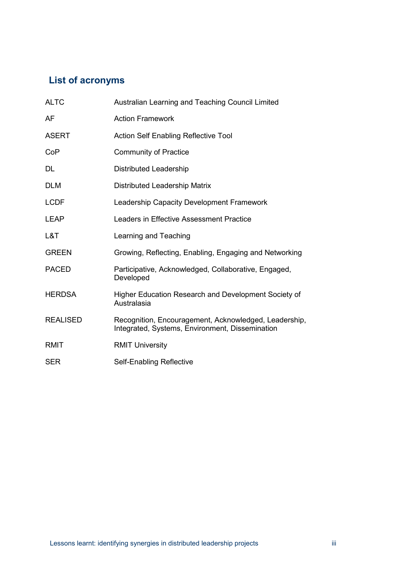# **List of acronyms**

| <b>ALTC</b>     | Australian Learning and Teaching Council Limited                                                         |
|-----------------|----------------------------------------------------------------------------------------------------------|
| AF              | <b>Action Framework</b>                                                                                  |
| <b>ASERT</b>    | <b>Action Self Enabling Reflective Tool</b>                                                              |
| CoP             | <b>Community of Practice</b>                                                                             |
| DL.             | <b>Distributed Leadership</b>                                                                            |
| <b>DLM</b>      | <b>Distributed Leadership Matrix</b>                                                                     |
| <b>LCDF</b>     | Leadership Capacity Development Framework                                                                |
| <b>LEAP</b>     | Leaders in Effective Assessment Practice                                                                 |
| L&T             | Learning and Teaching                                                                                    |
| <b>GREEN</b>    | Growing, Reflecting, Enabling, Engaging and Networking                                                   |
| <b>PACED</b>    | Participative, Acknowledged, Collaborative, Engaged,<br>Developed                                        |
| <b>HERDSA</b>   | Higher Education Research and Development Society of<br>Australasia                                      |
| <b>REALISED</b> | Recognition, Encouragement, Acknowledged, Leadership,<br>Integrated, Systems, Environment, Dissemination |
| <b>RMIT</b>     | <b>RMIT University</b>                                                                                   |
| <b>SER</b>      | Self-Enabling Reflective                                                                                 |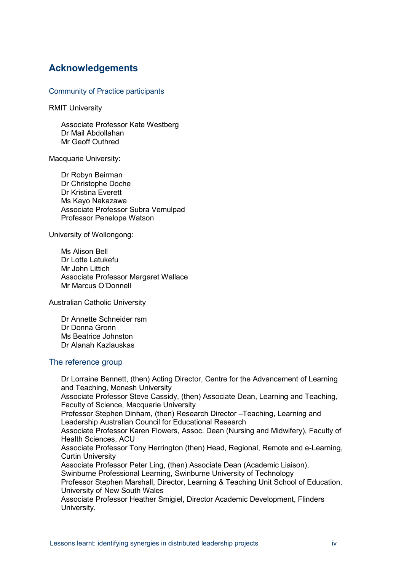## **Acknowledgements**

Community of Practice participants

RMIT University

Associate Professor Kate Westberg Dr Mail Abdollahan Mr Geoff Outhred

Macquarie University:

Dr Robyn Beirman Dr Christophe Doche Dr Kristina Everett Ms Kayo Nakazawa Associate Professor Subra Vemulpad Professor Penelope Watson

University of Wollongong:

Ms Alison Bell Dr Lotte Latukefu Mr John Littich Associate Professor Margaret Wallace Mr Marcus O'Donnell

Australian Catholic University

Dr Annette Schneider rsm Dr Donna Gronn Ms Beatrice Johnston Dr Alanah Kazlauskas

### The reference group

Dr Lorraine Bennett, (then) Acting Director, Centre for the Advancement of Learning and Teaching, Monash University Associate Professor Steve Cassidy, (then) Associate Dean, Learning and Teaching, Faculty of Science, Macquarie University Professor Stephen Dinham, (then) Research Director –Teaching, Learning and Leadership Australian Council for Educational Research Associate Professor Karen Flowers, Assoc. Dean (Nursing and Midwifery), Faculty of Health Sciences, ACU Associate Professor Tony Herrington (then) Head, Regional, Remote and e-Learning, Curtin University Associate Professor Peter Ling, (then) Associate Dean (Academic Liaison), Swinburne Professional Learning, Swinburne University of Technology Professor Stephen Marshall, Director, Learning & Teaching Unit School of Education, University of New South Wales Associate Professor Heather Smigiel, Director Academic Development, Flinders University.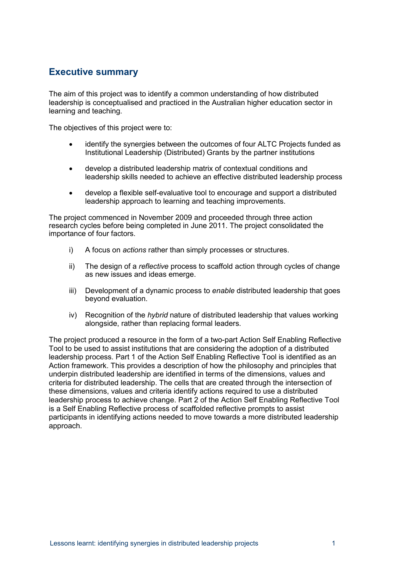### <span id="page-6-0"></span>**Executive summary**

The aim of this project was to identify a common understanding of how distributed leadership is conceptualised and practiced in the Australian higher education sector in learning and teaching.

The objectives of this project were to:

- identify the synergies between the outcomes of four ALTC Projects funded as Institutional Leadership (Distributed) Grants by the partner institutions
- develop a distributed leadership matrix of contextual conditions and leadership skills needed to achieve an effective distributed leadership process
- develop a flexible self-evaluative tool to encourage and support a distributed leadership approach to learning and teaching improvements.

The project commenced in November 2009 and proceeded through three action research cycles before being completed in June 2011. The project consolidated the importance of four factors.

- i) A focus on *actions* rather than simply processes or structures.
- ii) The design of a *reflective* process to scaffold action through cycles of change as new issues and ideas emerge.
- iii) Development of a dynamic process to *enable* distributed leadership that goes beyond evaluation.
- iv) Recognition of the *hybrid* nature of distributed leadership that values working alongside, rather than replacing formal leaders.

The project produced a resource in the form of a two-part Action Self Enabling Reflective Tool to be used to assist institutions that are considering the adoption of a distributed leadership process. Part 1 of the Action Self Enabling Reflective Tool is identified as an Action framework. This provides a description of how the philosophy and principles that underpin distributed leadership are identified in terms of the dimensions, values and criteria for distributed leadership. The cells that are created through the intersection of these dimensions, values and criteria identify actions required to use a distributed leadership process to achieve change. Part 2 of the Action Self Enabling Reflective Tool is a Self Enabling Reflective process of scaffolded reflective prompts to assist participants in identifying actions needed to move towards a more distributed leadership approach.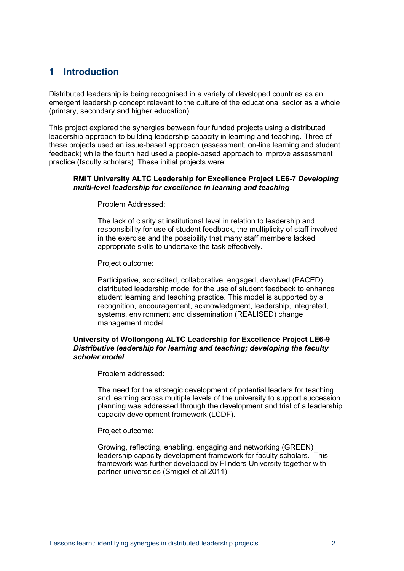## <span id="page-7-0"></span>**1 Introduction**

Distributed leadership is being recognised in a variety of developed countries as an emergent leadership concept relevant to the culture of the educational sector as a whole (primary, secondary and higher education).

This project explored the synergies between four funded projects using a distributed leadership approach to building leadership capacity in learning and teaching. Three of these projects used an issue-based approach (assessment, on-line learning and student feedback) while the fourth had used a people-based approach to improve assessment practice (faculty scholars). These initial projects were:

#### **RMIT University ALTC Leadership for Excellence Project LE6-7** *Developing multi-level leadership for excellence in learning and teaching*

Problem Addressed:

The lack of clarity at institutional level in relation to leadership and responsibility for use of student feedback, the multiplicity of staff involved in the exercise and the possibility that many staff members lacked appropriate skills to undertake the task effectively.

Project outcome:

Participative, accredited, collaborative, engaged, devolved (PACED) distributed leadership model for the use of student feedback to enhance student learning and teaching practice. This model is supported by a recognition, encouragement, acknowledgment, leadership, integrated, systems, environment and dissemination (REALISED) change management model.

#### **University of Wollongong ALTC Leadership for Excellence Project LE6-9**  *Distributive leadership for learning and teaching; developing the faculty scholar model*

Problem addressed:

The need for the strategic development of potential leaders for teaching and learning across multiple levels of the university to support succession planning was addressed through the development and trial of a leadership capacity development framework (LCDF).

Project outcome:

Growing, reflecting, enabling, engaging and networking (GREEN) leadership capacity development framework for faculty scholars. This framework was further developed by Flinders University together with partner universities (Smigiel et al 2011).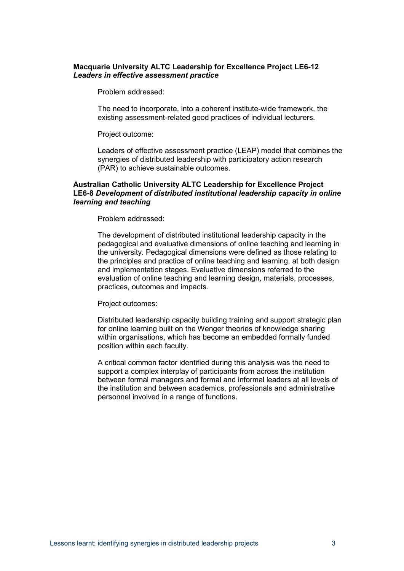#### **Macquarie University ALTC Leadership for Excellence Project LE6-12**  *Leaders in effective assessment practice*

Problem addressed:

The need to incorporate, into a coherent institute-wide framework, the existing assessment-related good practices of individual lecturers.

Project outcome:

Leaders of effective assessment practice (LEAP) model that combines the synergies of distributed leadership with participatory action research (PAR) to achieve sustainable outcomes.

#### **Australian Catholic University ALTC Leadership for Excellence Project LE6-8** *Development of distributed institutional leadership capacity in online learning and teaching*

Problem addressed:

The development of distributed institutional leadership capacity in the pedagogical and evaluative dimensions of online teaching and learning in the university. Pedagogical dimensions were defined as those relating to the principles and practice of online teaching and learning, at both design and implementation stages. Evaluative dimensions referred to the evaluation of online teaching and learning design, materials, processes, practices, outcomes and impacts.

Project outcomes:

Distributed leadership capacity building training and support strategic plan for online learning built on the Wenger theories of knowledge sharing within organisations, which has become an embedded formally funded position within each faculty.

A critical common factor identified during this analysis was the need to support a complex interplay of participants from across the institution between formal managers and formal and informal leaders at all levels of the institution and between academics, professionals and administrative personnel involved in a range of functions.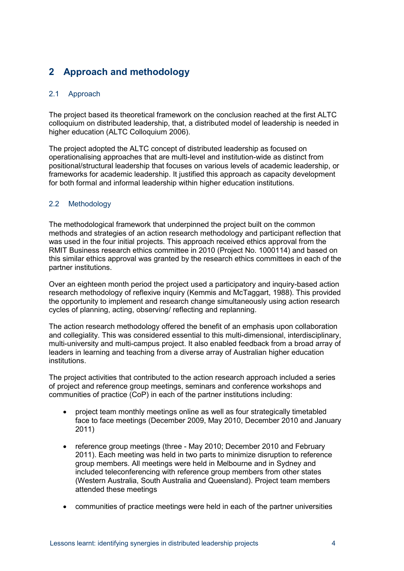# <span id="page-9-0"></span>**2 Approach and methodology**

### <span id="page-9-1"></span>2.1 Approach

The project based its theoretical framework on the conclusion reached at the first ALTC colloquium on distributed leadership, that, a distributed model of leadership is needed in higher education (ALTC Colloquium 2006).

The project adopted the ALTC concept of distributed leadership as focused on operationalising approaches that are multi-level and institution-wide as distinct from positional/structural leadership that focuses on various levels of academic leadership, or frameworks for academic leadership. It justified this approach as capacity development for both formal and informal leadership within higher education institutions.

### <span id="page-9-2"></span>2.2 Methodology

The methodological framework that underpinned the project built on the common methods and strategies of an action research methodology and participant reflection that was used in the four initial projects. This approach received ethics approval from the RMIT Business research ethics committee in 2010 (Project No. 1000114) and based on this similar ethics approval was granted by the research ethics committees in each of the partner institutions.

Over an eighteen month period the project used a participatory and inquiry-based action research methodology of reflexive inquiry (Kemmis and McTaggart, 1988). This provided the opportunity to implement and research change simultaneously using action research cycles of planning, acting, observing/ reflecting and replanning.

The action research methodology offered the benefit of an emphasis upon collaboration and collegiality. This was considered essential to this multi-dimensional, interdisciplinary, multi-university and multi-campus project. It also enabled feedback from a broad array of leaders in learning and teaching from a diverse array of Australian higher education institutions.

The project activities that contributed to the action research approach included a series of project and reference group meetings, seminars and conference workshops and communities of practice (CoP) in each of the partner institutions including:

- project team monthly meetings online as well as four strategically timetabled face to face meetings (December 2009, May 2010, December 2010 and January 2011)
- reference group meetings (three May 2010; December 2010 and February 2011). Each meeting was held in two parts to minimize disruption to reference group members. All meetings were held in Melbourne and in Sydney and included teleconferencing with reference group members from other states (Western Australia, South Australia and Queensland). Project team members attended these meetings
- communities of practice meetings were held in each of the partner universities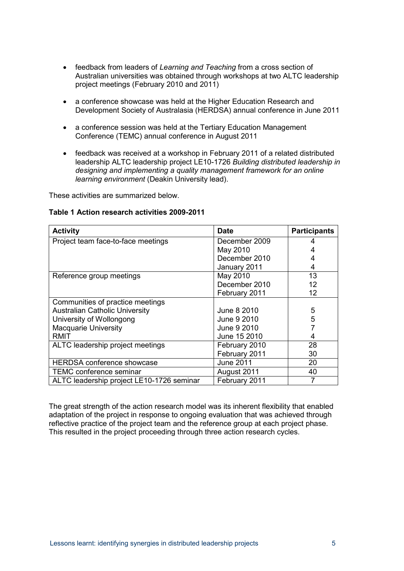- feedback from leaders of *Learning and Teaching* from a cross section of Australian universities was obtained through workshops at two ALTC leadership project meetings (February 2010 and 2011)
- a conference showcase was held at the Higher Education Research and Development Society of Australasia (HERDSA) annual conference in June 2011
- a conference session was held at the Tertiary Education Management Conference (TEMC) annual conference in August 2011
- feedback was received at a workshop in February 2011 of a related distributed leadership ALTC leadership project LE10-1726 *Building distributed leadership in designing and implementing a quality management framework for an online learning environment* (Deakin University lead).

These activities are summarized below.

#### <span id="page-10-0"></span>**Table 1 Action research activities 2009-2011**

| <b>Activity</b>                           | <b>Date</b>      | <b>Participants</b> |
|-------------------------------------------|------------------|---------------------|
| Project team face-to-face meetings        | December 2009    |                     |
|                                           | May 2010         |                     |
|                                           | December 2010    | 4                   |
|                                           | January 2011     | 4                   |
| Reference group meetings                  | May 2010         | 13                  |
|                                           | December 2010    | 12                  |
|                                           | February 2011    | 12                  |
| Communities of practice meetings          |                  |                     |
| <b>Australian Catholic University</b>     | June 8 2010      | 5                   |
| University of Wollongong                  | June 9 2010      | 5                   |
| <b>Macquarie University</b>               | June 9 2010      |                     |
| RMIT                                      | June 15 2010     | 4                   |
| ALTC leadership project meetings          | February 2010    | 28                  |
|                                           | February 2011    | 30                  |
| <b>HERDSA conference showcase</b>         | <b>June 2011</b> | 20                  |
| TEMC conference seminar                   | August 2011      | 40                  |
| ALTC leadership project LE10-1726 seminar | February 2011    |                     |

The great strength of the action research model was its inherent flexibility that enabled adaptation of the project in response to ongoing evaluation that was achieved through reflective practice of the project team and the reference group at each project phase. This resulted in the project proceeding through three action research cycles.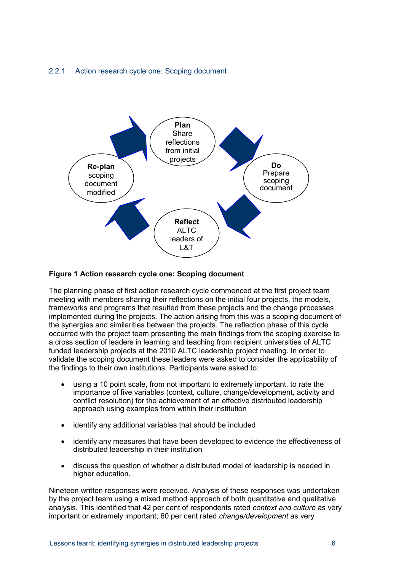### <span id="page-11-0"></span>2.2.1 Action research cycle one: Scoping document



#### <span id="page-11-1"></span>**Figure 1 Action research cycle one: Scoping document**

The planning phase of first action research cycle commenced at the first project team meeting with members sharing their reflections on the initial four projects, the models, frameworks and programs that resulted from these projects and the change processes implemented during the projects. The action arising from this was a scoping document of the synergies and similarities between the projects. The reflection phase of this cycle occurred with the project team presenting the main findings from the scoping exercise to a cross section of leaders in learning and teaching from recipient universities of ALTC funded leadership projects at the 2010 ALTC leadership project meeting. In order to validate the scoping document these leaders were asked to consider the applicability of the findings to their own institutions. Participants were asked to:

- using a 10 point scale, from not important to extremely important, to rate the importance of five variables (context, culture, change/development, activity and conflict resolution) for the achievement of an effective distributed leadership approach using examples from within their institution
- identify any additional variables that should be included
- identify any measures that have been developed to evidence the effectiveness of distributed leadership in their institution
- discuss the question of whether a distributed model of leadership is needed in higher education.

Nineteen written responses were received. Analysis of these responses was undertaken by the project team using a mixed method approach of both quantitative and qualitative analysis. This identified that 42 per cent of respondents rated *context and culture* as very important or extremely important; 60 per cent rated *change/development* as very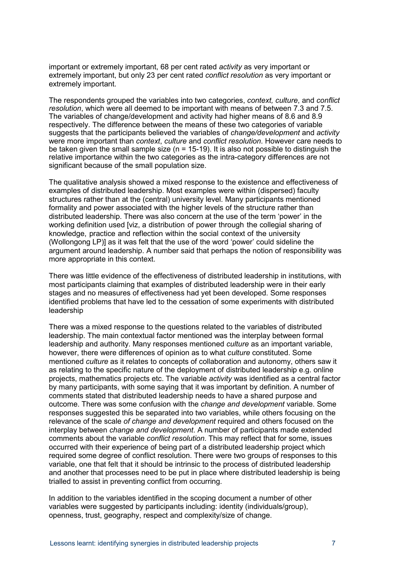important or extremely important, 68 per cent rated *activity* as very important or extremely important, but only 23 per cent rated *conflict resolution* as very important or extremely important.

The respondents grouped the variables into two categories, *context, culture*, and *conflict resolution*, which were all deemed to be important with means of between 7.3 and 7.5. The variables of change/development and activity had higher means of 8.6 and 8.9 respectively. The difference between the means of these two categories of variable suggests that the participants believed the variables of *change/development* and *activity*  were more important than *context*, *culture* and *conflict resolution*. However care needs to be taken given the small sample size ( $n = 15-19$ ). It is also not possible to distinguish the relative importance within the two categories as the intra-category differences are not significant because of the small population size.

The qualitative analysis showed a mixed response to the existence and effectiveness of examples of distributed leadership. Most examples were within (dispersed) faculty structures rather than at the (central) university level. Many participants mentioned formality and power associated with the higher levels of the structure rather than distributed leadership. There was also concern at the use of the term 'power' in the working definition used [viz, a distribution of power through the collegial sharing of knowledge, practice and reflection within the social context of the university (Wollongong LP)] as it was felt that the use of the word 'power' could sideline the argument around leadership. A number said that perhaps the notion of responsibility was more appropriate in this context.

There was little evidence of the effectiveness of distributed leadership in institutions, with most participants claiming that examples of distributed leadership were in their early stages and no measures of effectiveness had yet been developed. Some responses identified problems that have led to the cessation of some experiments with distributed leadership

There was a mixed response to the questions related to the variables of distributed leadership. The main contextual factor mentioned was the interplay between formal leadership and authority. Many responses mentioned *culture* as an important variable, however, there were differences of opinion as to what *culture* constituted. Some mentioned *culture* as it relates to concepts of collaboration and autonomy, others saw it as relating to the specific nature of the deployment of distributed leadership e.g. online projects, mathematics projects etc. The variable *activity* was identified as a central factor by many participants, with some saying that it was important by definition. A number of comments stated that distributed leadership needs to have a shared purpose and outcome. There was some confusion with the *change and development* variable. Some responses suggested this be separated into two variables, while others focusing on the relevance of the scale *of change and development* required and others focused on the interplay between *change and development*. A number of participants made extended comments about the variable *conflict resolution*. This may reflect that for some, issues occurred with their experience of being part of a distributed leadership project which required some degree of conflict resolution. There were two groups of responses to this variable, one that felt that it should be intrinsic to the process of distributed leadership and another that processes need to be put in place where distributed leadership is being trialled to assist in preventing conflict from occurring.

In addition to the variables identified in the scoping document a number of other variables were suggested by participants including: identity (individuals/group), openness, trust, geography, respect and complexity/size of change.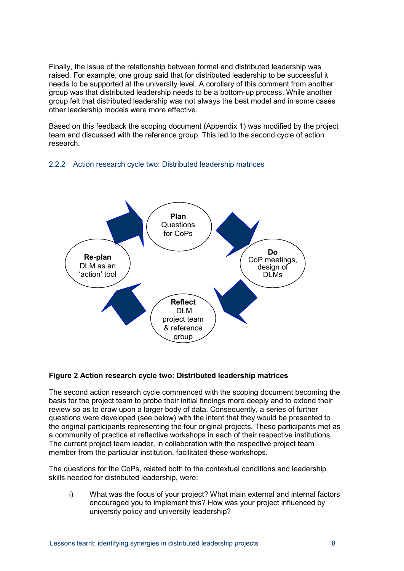Finally, the issue of the relationship between formal and distributed leadership was raised. For example, one group said that for distributed leadership to be successful it needs to be supported at the university level. A corollary of this comment from another group was that distributed leadership needs to be a bottom-up process. While another group felt that distributed leadership was not always the best model and in some cases other leadership models were more effective.

Based on this feedback the scoping document (Appendix 1) was modified by the project team and discussed with the reference group. This led to the second cycle of action research.

### <span id="page-13-0"></span>2.2.2 Action research cycle two: Distributed leadership matrices



### <span id="page-13-1"></span>**Figure 2 Action research cycle two: Distributed leadership matrices**

The second action research cycle commenced with the scoping document becoming the basis for the project team to probe their initial findings more deeply and to extend their review so as to draw upon a larger body of data. Consequently, a series of further questions were developed (see below) with the intent that they would be presented to the original participants representing the four original projects. These participants met as a community of practice at reflective workshops in each of their respective institutions. The current project team leader, in collaboration with the respective project team member from the particular institution, facilitated these workshops.

The questions for the CoPs, related both to the contextual conditions and leadership skills needed for distributed leadership, were:

i) What was the focus of your project? What main external and internal factors encouraged you to implement this? How was your project influenced by university policy and university leadership?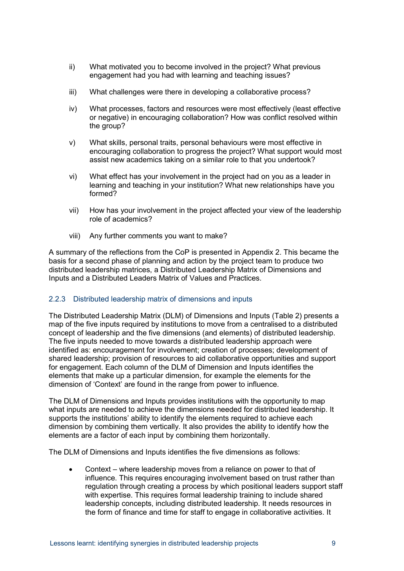- ii) What motivated you to become involved in the project? What previous engagement had you had with learning and teaching issues?
- iii) What challenges were there in developing a collaborative process?
- iv) What processes, factors and resources were most effectively (least effective or negative) in encouraging collaboration? How was conflict resolved within the group?
- v) What skills, personal traits, personal behaviours were most effective in encouraging collaboration to progress the project? What support would most assist new academics taking on a similar role to that you undertook?
- vi) What effect has your involvement in the project had on you as a leader in learning and teaching in your institution? What new relationships have you formed?
- vii) How has your involvement in the project affected your view of the leadership role of academics?
- viii) Any further comments you want to make?

A summary of the reflections from the CoP is presented in Appendix 2. This became the basis for a second phase of planning and action by the project team to produce two distributed leadership matrices, a Distributed Leadership Matrix of Dimensions and Inputs and a Distributed Leaders Matrix of Values and Practices.

### <span id="page-14-0"></span>2.2.3 Distributed leadership matrix of dimensions and inputs

The Distributed Leadership Matrix (DLM) of Dimensions and Inputs [\(Table 2\)](#page-16-0) presents a map of the five inputs required by institutions to move from a centralised to a distributed concept of leadership and the five dimensions (and elements) of distributed leadership. The five inputs needed to move towards a distributed leadership approach were identified as: encouragement for involvement; creation of processes; development of shared leadership; provision of resources to aid collaborative opportunities and support for engagement. Each column of the DLM of Dimension and Inputs identifies the elements that make up a particular dimension, for example the elements for the dimension of 'Context' are found in the range from power to influence.

The DLM of Dimensions and Inputs provides institutions with the opportunity to map what inputs are needed to achieve the dimensions needed for distributed leadership. It supports the institutions' ability to identify the elements required to achieve each dimension by combining them vertically. It also provides the ability to identify how the elements are a factor of each input by combining them horizontally.

The DLM of Dimensions and Inputs identifies the five dimensions as follows:

• Context – where leadership moves from a reliance on power to that of influence. This requires encouraging involvement based on trust rather than regulation through creating a process by which positional leaders support staff with expertise. This requires formal leadership training to include shared leadership concepts, including distributed leadership. It needs resources in the form of finance and time for staff to engage in collaborative activities. It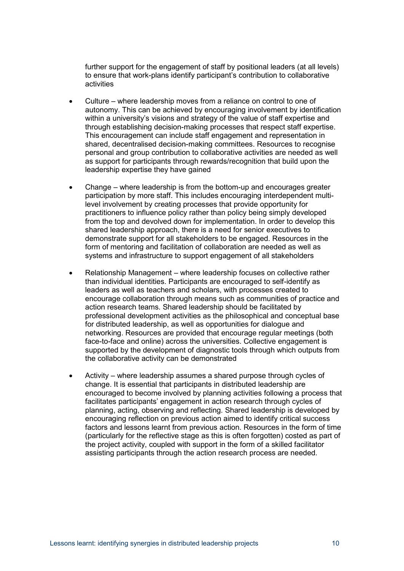further support for the engagement of staff by positional leaders (at all levels) to ensure that work-plans identify participant's contribution to collaborative activities

- Culture where leadership moves from a reliance on control to one of autonomy. This can be achieved by encouraging involvement by identification within a university's visions and strategy of the value of staff expertise and through establishing decision-making processes that respect staff expertise. This encouragement can include staff engagement and representation in shared, decentralised decision-making committees. Resources to recognise personal and group contribution to collaborative activities are needed as well as support for participants through rewards/recognition that build upon the leadership expertise they have gained
- Change where leadership is from the bottom-up and encourages greater participation by more staff. This includes encouraging interdependent multilevel involvement by creating processes that provide opportunity for practitioners to influence policy rather than policy being simply developed from the top and devolved down for implementation. In order to develop this shared leadership approach, there is a need for senior executives to demonstrate support for all stakeholders to be engaged. Resources in the form of mentoring and facilitation of collaboration are needed as well as systems and infrastructure to support engagement of all stakeholders
- Relationship Management where leadership focuses on collective rather than individual identities. Participants are encouraged to self-identify as leaders as well as teachers and scholars, with processes created to encourage collaboration through means such as communities of practice and action research teams. Shared leadership should be facilitated by professional development activities as the philosophical and conceptual base for distributed leadership, as well as opportunities for dialogue and networking. Resources are provided that encourage regular meetings (both face-to-face and online) across the universities. Collective engagement is supported by the development of diagnostic tools through which outputs from the collaborative activity can be demonstrated
- Activity where leadership assumes a shared purpose through cycles of change. It is essential that participants in distributed leadership are encouraged to become involved by planning activities following a process that facilitates participants' engagement in action research through cycles of planning, acting, observing and reflecting. Shared leadership is developed by encouraging reflection on previous action aimed to identify critical success factors and lessons learnt from previous action. Resources in the form of time (particularly for the reflective stage as this is often forgotten) costed as part of the project activity, coupled with support in the form of a skilled facilitator assisting participants through the action research process are needed.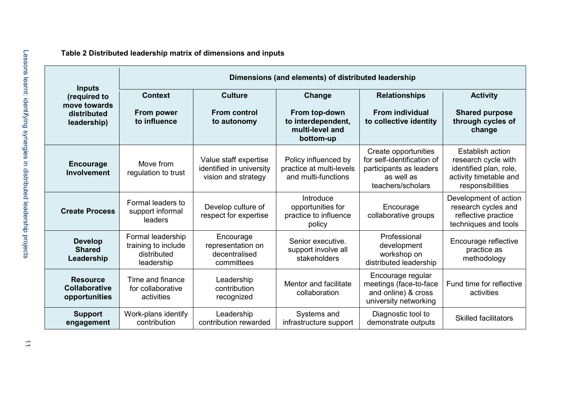<span id="page-16-0"></span>

|                                                                             | Dimensions (and elements) of distributed leadership                   |                                                                          |                                                                               |                                                                                                                  |                                                                                                                        |  |  |
|-----------------------------------------------------------------------------|-----------------------------------------------------------------------|--------------------------------------------------------------------------|-------------------------------------------------------------------------------|------------------------------------------------------------------------------------------------------------------|------------------------------------------------------------------------------------------------------------------------|--|--|
| <b>Inputs</b><br>(required to<br>move towards<br>distributed<br>leadership) | <b>Context</b><br><b>From power</b><br>to influence                   | <b>Culture</b><br><b>From control</b><br>to autonomy                     | Change<br>From top-down<br>to interdependent,<br>multi-level and<br>bottom-up | <b>Relationships</b><br><b>From individual</b><br>to collective identity                                         | <b>Activity</b><br><b>Shared purpose</b><br>through cycles of<br>change                                                |  |  |
| <b>Encourage</b><br><b>Involvement</b>                                      | Move from<br>regulation to trust                                      | Value staff expertise<br>identified in university<br>vision and strategy | Policy influenced by<br>practice at multi-levels<br>and multi-functions       | Create opportunities<br>for self-identification of<br>participants as leaders<br>as well as<br>teachers/scholars | <b>Establish action</b><br>research cycle with<br>identified plan, role,<br>activity timetable and<br>responsibilities |  |  |
| <b>Create Process</b>                                                       | Formal leaders to<br>support informal<br>leaders                      | Develop culture of<br>respect for expertise                              | Introduce<br>opportunities for<br>practice to influence<br>policy             | Encourage<br>collaborative groups                                                                                | Development of action<br>research cycles and<br>reflective practice<br>techniques and tools                            |  |  |
| <b>Develop</b><br><b>Shared</b><br>Leadership                               | Formal leadership<br>training to include<br>distributed<br>leadership | Encourage<br>representation on<br>decentralised<br>committees            | Senior executive.<br>support involve all<br>stakeholders                      | Professional<br>development<br>workshop on<br>distributed leadership                                             | Encourage reflective<br>practice as<br>methodology                                                                     |  |  |
| <b>Resource</b><br><b>Collaborative</b><br>opportunities                    | Time and finance<br>for collaborative<br>activities                   | Leadership<br>contribution<br>recognized                                 | Mentor and facilitate<br>collaboration                                        | Encourage regular<br>meetings (face-to-face<br>and online) & cross<br>university networking                      | Fund time for reflective<br>activities                                                                                 |  |  |
| <b>Support</b><br>engagement                                                | Work-plans identify<br>contribution                                   | Leadership<br>contribution rewarded                                      | Systems and<br>infrastructure support                                         | Diagnostic tool to<br>demonstrate outputs                                                                        | <b>Skilled facilitators</b>                                                                                            |  |  |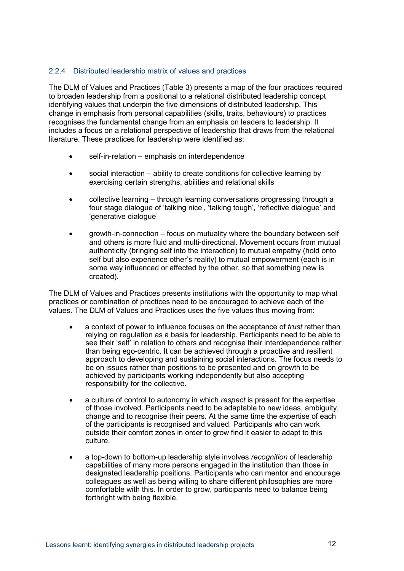### <span id="page-17-0"></span>2.2.4 Distributed leadership matrix of values and practices

The DLM of Values and Practices [\(Table 3\)](#page-19-0) presents a map of the four practices required to broaden leadership from a positional to a relational distributed leadership concept identifying values that underpin the five dimensions of distributed leadership. This change in emphasis from personal capabilities (skills, traits, behaviours) to practices recognises the fundamental change from an emphasis on leaders to leadership. It includes a focus on a relational perspective of leadership that draws from the relational literature. These practices for leadership were identified as:

- self-in-relation emphasis on interdependence
- social interaction ability to create conditions for collective learning by exercising certain strengths, abilities and relational skills
- collective learning through learning conversations progressing through a four stage dialogue of 'talking nice', 'talking tough', 'reflective dialogue' and 'generative dialogue'
- growth-in-connection focus on mutuality where the boundary between self and others is more fluid and multi-directional. Movement occurs from mutual authenticity (bringing self into the interaction) to mutual empathy (hold onto self but also experience other's reality) to mutual empowerment (each is in some way influenced or affected by the other, so that something new is created).

The DLM of Values and Practices presents institutions with the opportunity to map what practices or combination of practices need to be encouraged to achieve each of the values. The DLM of Values and Practices uses the five values thus moving from:

- a context of power to influence focuses on the acceptance of *trust* rather than relying on regulation as a basis for leadership. Participants need to be able to see their 'self' in relation to others and recognise their interdependence rather than being ego-centric. It can be achieved through a proactive and resilient approach to developing and sustaining social interactions. The focus needs to be on issues rather than positions to be presented and on growth to be achieved by participants working independently but also accepting responsibility for the collective.
- a culture of control to autonomy in which *respect* is present for the expertise of those involved. Participants need to be adaptable to new ideas, ambiguity, change and to recognise their peers. At the same time the expertise of each of the participants is recognised and valued. Participants who can work outside their comfort zones in order to grow find it easier to adapt to this culture.
- a top-down to bottom-up leadership style involves *recognition* of leadership capabilities of many more persons engaged in the institution than those in designated leadership positions. Participants who can mentor and encourage colleagues as well as being willing to share different philosophies are more comfortable with this. In order to grow, participants need to balance being forthright with being flexible.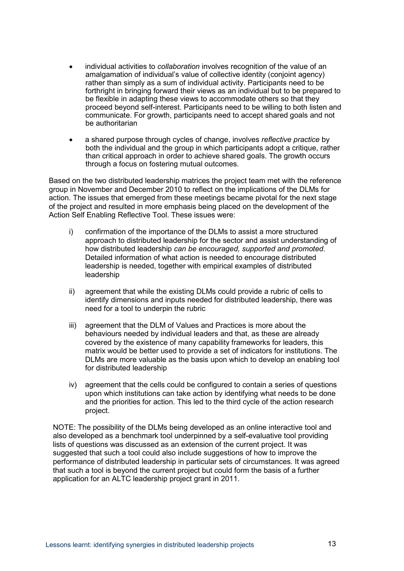- individual activities to *collaboration* involves recognition of the value of an amalgamation of individual's value of collective identity (conjoint agency) rather than simply as a sum of individual activity. Participants need to be forthright in bringing forward their views as an individual but to be prepared to be flexible in adapting these views to accommodate others so that they proceed beyond self-interest. Participants need to be willing to both listen and communicate. For growth, participants need to accept shared goals and not be authoritarian
- a shared purpose through cycles of change, involves *reflective practice* by both the individual and the group in which participants adopt a critique, rather than critical approach in order to achieve shared goals. The growth occurs through a focus on fostering mutual outcomes.

Based on the two distributed leadership matrices the project team met with the reference group in November and December 2010 to reflect on the implications of the DLMs for action. The issues that emerged from these meetings became pivotal for the next stage of the project and resulted in more emphasis being placed on the development of the Action Self Enabling Reflective Tool. These issues were:

- i) confirmation of the importance of the DLMs to assist a more structured approach to distributed leadership for the sector and assist understanding of how distributed leadership *can be encouraged, supported and promoted.* Detailed information of what action is needed to encourage distributed leadership is needed, together with empirical examples of distributed leadership
- ii) agreement that while the existing DLMs could provide a rubric of cells to identify dimensions and inputs needed for distributed leadership, there was need for a tool to underpin the rubric
- iii) agreement that the DLM of Values and Practices is more about the behaviours needed by individual leaders and that, as these are already covered by the existence of many capability frameworks for leaders, this matrix would be better used to provide a set of indicators for institutions. The DLMs are more valuable as the basis upon which to develop an enabling tool for distributed leadership
- iv) agreement that the cells could be configured to contain a series of questions upon which institutions can take action by identifying what needs to be done and the priorities for action. This led to the third cycle of the action research project.

NOTE: The possibility of the DLMs being developed as an online interactive tool and also developed as a benchmark tool underpinned by a self-evaluative tool providing lists of questions was discussed as an extension of the current project. It was suggested that such a tool could also include suggestions of how to improve the performance of distributed leadership in particular sets of circumstances. It was agreed that such a tool is beyond the current project but could form the basis of a further application for an ALTC leadership project grant in 2011.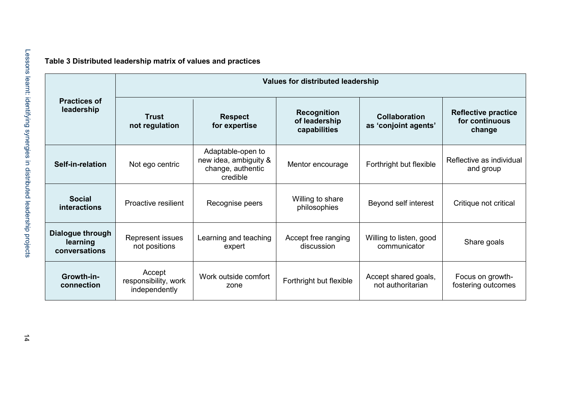|  | Table 3 Distributed leadership matrix of values and practices |  |  |  |  |  |
|--|---------------------------------------------------------------|--|--|--|--|--|
|--|---------------------------------------------------------------|--|--|--|--|--|

<span id="page-19-0"></span>

|                                               | <b>Values for distributed leadership</b>        |                                                                             |                                                     |                                              |                                                        |  |
|-----------------------------------------------|-------------------------------------------------|-----------------------------------------------------------------------------|-----------------------------------------------------|----------------------------------------------|--------------------------------------------------------|--|
| <b>Practices of</b><br>leadership             | Trust<br>not regulation                         | <b>Respect</b><br>for expertise                                             | <b>Recognition</b><br>of leadership<br>capabilities | <b>Collaboration</b><br>as 'conjoint agents' | <b>Reflective practice</b><br>for continuous<br>change |  |
| Self-in-relation                              | Not ego centric                                 | Adaptable-open to<br>new idea, ambiguity &<br>change, authentic<br>credible | Mentor encourage                                    | Forthright but flexible                      | Reflective as individual<br>and group                  |  |
| <b>Social</b><br><i>interactions</i>          | Proactive resilient                             | Recognise peers                                                             | Willing to share<br>philosophies                    | Beyond self interest                         | Critique not critical                                  |  |
| Dialogue through<br>learning<br>conversations | Represent issues<br>not positions               | Learning and teaching<br>expert                                             | Accept free ranging<br>discussion                   | Willing to listen, good<br>communicator      | Share goals                                            |  |
| Growth-in-<br>connection                      | Accept<br>responsibility, work<br>independently | Work outside comfort<br>zone                                                | Forthright but flexible                             | Accept shared goals,<br>not authoritarian    | Focus on growth-<br>fostering outcomes                 |  |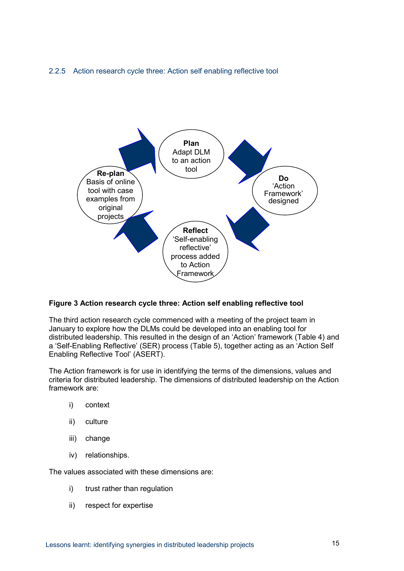### <span id="page-20-0"></span>2.2.5 Action research cycle three: Action self enabling reflective tool



### <span id="page-20-1"></span>**Figure 3 Action research cycle three: Action self enabling reflective tool**

The third action research cycle commenced with a meeting of the project team in January to explore how the DLMs could be developed into an enabling tool for distributed leadership. This resulted in the design of an 'Action' framework [\(Table 4\)](#page-22-0) and a 'Self-Enabling Reflective' (SER) process [\(Table 5\)](#page-23-0), together acting as an 'Action Self Enabling Reflective Tool' (ASERT).

The Action framework is for use in identifying the terms of the dimensions, values and criteria for distributed leadership. The dimensions of distributed leadership on the Action framework are:

- i) context
- ii) culture
- iii) change
- iv) relationships.

The values associated with these dimensions are:

- i) trust rather than regulation
- ii) respect for expertise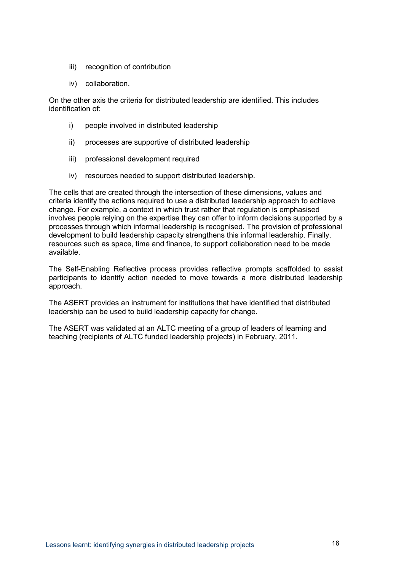- iii) recognition of contribution
- iv) collaboration.

On the other axis the criteria for distributed leadership are identified. This includes identification of:

- i) people involved in distributed leadership
- ii) processes are supportive of distributed leadership
- iii) professional development required
- iv) resources needed to support distributed leadership.

The cells that are created through the intersection of these dimensions, values and criteria identify the actions required to use a distributed leadership approach to achieve change. For example, a context in which trust rather that regulation is emphasised involves people relying on the expertise they can offer to inform decisions supported by a processes through which informal leadership is recognised. The provision of professional development to build leadership capacity strengthens this informal leadership. Finally, resources such as space, time and finance, to support collaboration need to be made available.

The Self-Enabling Reflective process provides reflective prompts scaffolded to assist participants to identify action needed to move towards a more distributed leadership approach.

The ASERT provides an instrument for institutions that have identified that distributed leadership can be used to build leadership capacity for change.

The ASERT was validated at an ALTC meeting of a group of leaders of learning and teaching (recipients of ALTC funded leadership projects) in February, 2011.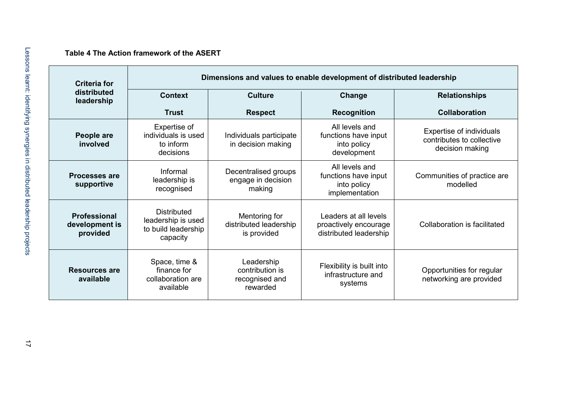### **Table 4 The Action framework of the ASERT**

<span id="page-22-0"></span>

| <b>Criteria for</b>                        | Dimensions and values to enable development of distributed leadership       |                                                             |                                                                          |                                                                          |  |  |
|--------------------------------------------|-----------------------------------------------------------------------------|-------------------------------------------------------------|--------------------------------------------------------------------------|--------------------------------------------------------------------------|--|--|
| distributed<br>leadership                  | <b>Context</b>                                                              | <b>Culture</b>                                              | Change                                                                   | <b>Relationships</b>                                                     |  |  |
|                                            | <b>Trust</b>                                                                | <b>Respect</b>                                              | <b>Recognition</b>                                                       | Collaboration                                                            |  |  |
| People are<br>involved                     | Expertise of<br>individuals is used<br>to inform<br>decisions               | Individuals participate<br>in decision making               | All levels and<br>functions have input<br>into policy<br>development     | Expertise of individuals<br>contributes to collective<br>decision making |  |  |
| <b>Processes are</b><br>supportive         | Informal<br>leadership is<br>recognised                                     | Decentralised groups<br>engage in decision<br>making        | All levels and<br>functions have input<br>into policy<br>implementation  | Communities of practice are<br>modelled                                  |  |  |
| Professional<br>development is<br>provided | <b>Distributed</b><br>leadership is used<br>to build leadership<br>capacity | Mentoring for<br>distributed leadership<br>is provided      | Leaders at all levels<br>proactively encourage<br>distributed leadership | Collaboration is facilitated                                             |  |  |
| Resources are<br>available                 | Space, time &<br>finance for<br>collaboration are<br>available              | Leadership<br>contribution is<br>recognised and<br>rewarded | Flexibility is built into<br>infrastructure and<br>systems               | Opportunities for regular<br>networking are provided                     |  |  |

۰,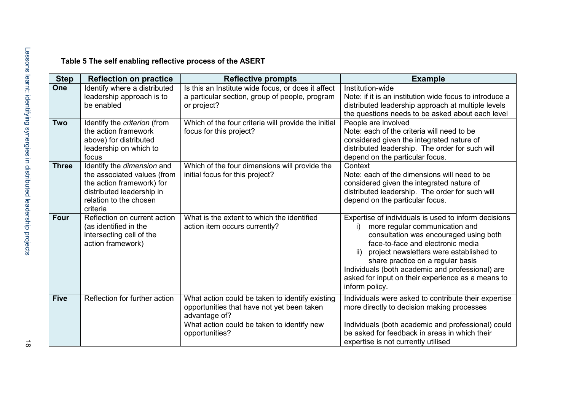# **Table 5 The self enabling reflective process of the ASERT**

<span id="page-23-0"></span>

| <b>Step</b>  | <b>Reflection on practice</b>                                                                                                                             | <b>Reflective prompts</b>                                                                                                                                                      | <b>Example</b>                                                                                                                                                                                                                                                                                                                                                                                |
|--------------|-----------------------------------------------------------------------------------------------------------------------------------------------------------|--------------------------------------------------------------------------------------------------------------------------------------------------------------------------------|-----------------------------------------------------------------------------------------------------------------------------------------------------------------------------------------------------------------------------------------------------------------------------------------------------------------------------------------------------------------------------------------------|
| One          | Identify where a distributed<br>leadership approach is to<br>be enabled                                                                                   | Is this an Institute wide focus, or does it affect<br>a particular section, group of people, program<br>or project?                                                            | Institution-wide<br>Note: if it is an institution wide focus to introduce a<br>distributed leadership approach at multiple levels<br>the questions needs to be asked about each level                                                                                                                                                                                                         |
| <b>Two</b>   | Identify the criterion (from<br>the action framework<br>above) for distributed<br>leadership on which to<br>focus                                         | Which of the four criteria will provide the initial<br>focus for this project?                                                                                                 | People are involved<br>Note: each of the criteria will need to be<br>considered given the integrated nature of<br>distributed leadership. The order for such will<br>depend on the particular focus.                                                                                                                                                                                          |
| <b>Three</b> | Identify the dimension and<br>the associated values (from<br>the action framework) for<br>distributed leadership in<br>relation to the chosen<br>criteria | Which of the four dimensions will provide the<br>initial focus for this project?                                                                                               | Context<br>Note: each of the dimensions will need to be<br>considered given the integrated nature of<br>distributed leadership. The order for such will<br>depend on the particular focus.                                                                                                                                                                                                    |
| <b>Four</b>  | Reflection on current action<br>(as identified in the<br>intersecting cell of the<br>action framework)                                                    | What is the extent to which the identified<br>action item occurs currently?                                                                                                    | Expertise of individuals is used to inform decisions<br>more regular communication and<br>i)<br>consultation was encouraged using both<br>face-to-face and electronic media<br>project newsletters were established to<br>ii)<br>share practice on a regular basis<br>Individuals (both academic and professional) are<br>asked for input on their experience as a means to<br>inform policy. |
| <b>Five</b>  | Reflection for further action                                                                                                                             | What action could be taken to identify existing<br>opportunities that have not yet been taken<br>advantage of?<br>What action could be taken to identify new<br>opportunities? | Individuals were asked to contribute their expertise<br>more directly to decision making processes<br>Individuals (both academic and professional) could<br>be asked for feedback in areas in which their<br>expertise is not currently utilised                                                                                                                                              |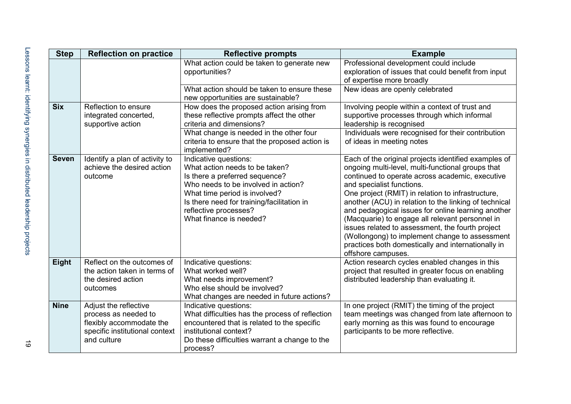| <b>Step</b>  | <b>Reflection on practice</b>                                                                                              | <b>Reflective prompts</b>                                                                                                                                                                                                                                           | <b>Example</b>                                                                                                                                                                                                                                                                                                                                                                                                                                                                                                                                                                                     |
|--------------|----------------------------------------------------------------------------------------------------------------------------|---------------------------------------------------------------------------------------------------------------------------------------------------------------------------------------------------------------------------------------------------------------------|----------------------------------------------------------------------------------------------------------------------------------------------------------------------------------------------------------------------------------------------------------------------------------------------------------------------------------------------------------------------------------------------------------------------------------------------------------------------------------------------------------------------------------------------------------------------------------------------------|
|              |                                                                                                                            | What action could be taken to generate new<br>opportunities?                                                                                                                                                                                                        | Professional development could include<br>exploration of issues that could benefit from input<br>of expertise more broadly                                                                                                                                                                                                                                                                                                                                                                                                                                                                         |
|              |                                                                                                                            | What action should be taken to ensure these<br>new opportunities are sustainable?                                                                                                                                                                                   | New ideas are openly celebrated                                                                                                                                                                                                                                                                                                                                                                                                                                                                                                                                                                    |
| <b>Six</b>   | Reflection to ensure<br>integrated concerted,<br>supportive action                                                         | How does the proposed action arising from<br>these reflective prompts affect the other<br>criteria and dimensions?                                                                                                                                                  | Involving people within a context of trust and<br>supportive processes through which informal<br>leadership is recognised                                                                                                                                                                                                                                                                                                                                                                                                                                                                          |
|              |                                                                                                                            | What change is needed in the other four<br>criteria to ensure that the proposed action is<br>implemented?                                                                                                                                                           | Individuals were recognised for their contribution<br>of ideas in meeting notes                                                                                                                                                                                                                                                                                                                                                                                                                                                                                                                    |
| <b>Seven</b> | Identify a plan of activity to<br>achieve the desired action<br>outcome                                                    | Indicative questions:<br>What action needs to be taken?<br>Is there a preferred sequence?<br>Who needs to be involved in action?<br>What time period is involved?<br>Is there need for training/facilitation in<br>reflective processes?<br>What finance is needed? | Each of the original projects identified examples of<br>ongoing multi-level, multi-functional groups that<br>continued to operate across academic, executive<br>and specialist functions.<br>One project (RMIT) in relation to infrastructure,<br>another (ACU) in relation to the linking of technical<br>and pedagogical issues for online learning another<br>(Macquarie) to engage all relevant personnel in<br>issues related to assessment, the fourth project<br>(Wollongong) to implement change to assessment<br>practices both domestically and internationally in<br>offshore campuses. |
| <b>Eight</b> | Reflect on the outcomes of<br>the action taken in terms of<br>the desired action<br>outcomes                               | Indicative questions:<br>What worked well?<br>What needs improvement?<br>Who else should be involved?<br>What changes are needed in future actions?                                                                                                                 | Action research cycles enabled changes in this<br>project that resulted in greater focus on enabling<br>distributed leadership than evaluating it.                                                                                                                                                                                                                                                                                                                                                                                                                                                 |
| <b>Nine</b>  | Adjust the reflective<br>process as needed to<br>flexibly accommodate the<br>specific institutional context<br>and culture | Indicative questions:<br>What difficulties has the process of reflection<br>encountered that is related to the specific<br>institutional context?<br>Do these difficulties warrant a change to the<br>process?                                                      | In one project (RMIT) the timing of the project<br>team meetings was changed from late afternoon to<br>early morning as this was found to encourage<br>participants to be more reflective.                                                                                                                                                                                                                                                                                                                                                                                                         |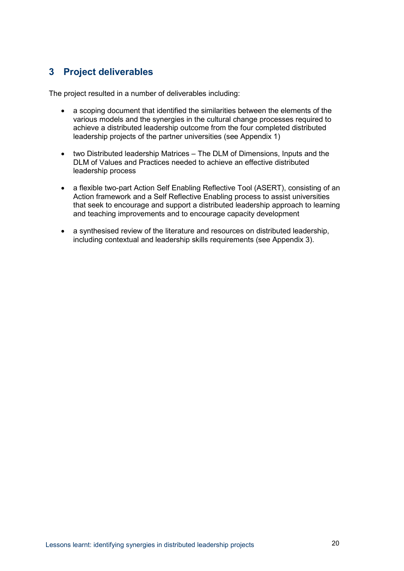# <span id="page-25-0"></span>**3 Project deliverables**

The project resulted in a number of deliverables including:

- a scoping document that identified the similarities between the elements of the various models and the synergies in the cultural change processes required to achieve a distributed leadership outcome from the four completed distributed leadership projects of the partner universities (see Appendix 1)
- two Distributed leadership Matrices The DLM of Dimensions, Inputs and the DLM of Values and Practices needed to achieve an effective distributed leadership process
- a flexible two-part Action Self Enabling Reflective Tool (ASERT), consisting of an Action framework and a Self Reflective Enabling process to assist universities that seek to encourage and support a distributed leadership approach to learning and teaching improvements and to encourage capacity development
- a synthesised review of the literature and resources on distributed leadership, including contextual and leadership skills requirements (see Appendix 3).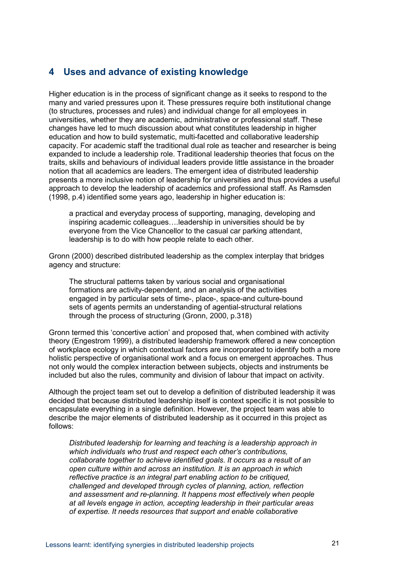### <span id="page-26-0"></span>**4 Uses and advance of existing knowledge**

Higher education is in the process of significant change as it seeks to respond to the many and varied pressures upon it. These pressures require both institutional change (to structures, processes and rules) and individual change for all employees in universities, whether they are academic, administrative or professional staff. These changes have led to much discussion about what constitutes leadership in higher education and how to build systematic, multi-facetted and collaborative leadership capacity. For academic staff the traditional dual role as teacher and researcher is being expanded to include a leadership role. Traditional leadership theories that focus on the traits, skills and behaviours of individual leaders provide little assistance in the broader notion that all academics are leaders. The emergent idea of distributed leadership presents a more inclusive notion of leadership for universities and thus provides a useful approach to develop the leadership of academics and professional staff. As Ramsden (1998, p.4) identified some years ago, leadership in higher education is:

a practical and everyday process of supporting, managing, developing and inspiring academic colleagues….leadership in universities should be by everyone from the Vice Chancellor to the casual car parking attendant, leadership is to do with how people relate to each other.

Gronn (2000) described distributed leadership as the complex interplay that bridges agency and structure:

The structural patterns taken by various social and organisational formations are activity-dependent, and an analysis of the activities engaged in by particular sets of time-, place-, space-and culture-bound sets of agents permits an understanding of agential-structural relations through the process of structuring (Gronn, 2000, p.318)

Gronn termed this 'concertive action' and proposed that, when combined with activity theory (Engestrom 1999), a distributed leadership framework offered a new conception of workplace ecology in which contextual factors are incorporated to identify both a more holistic perspective of organisational work and a focus on emergent approaches. Thus not only would the complex interaction between subjects, objects and instruments be included but also the rules, community and division of labour that impact on activity.

Although the project team set out to develop a definition of distributed leadership it was decided that because distributed leadership itself is context specific it is not possible to encapsulate everything in a single definition. However, the project team was able to describe the major elements of distributed leadership as it occurred in this project as follows:

*Distributed leadership for learning and teaching is a leadership approach in which individuals who trust and respect each other's contributions, collaborate together to achieve identified goals*. *It occurs as a result of an open culture within and across an institution. It is an approach in which reflective practice is an integral part enabling action to be critiqued, challenged and developed through cycles of planning, action, reflection and assessment and re-planning. It happens most effectively when people at all levels engage in action, accepting leadership in their particular areas of expertise. It needs resources that support and enable collaborative*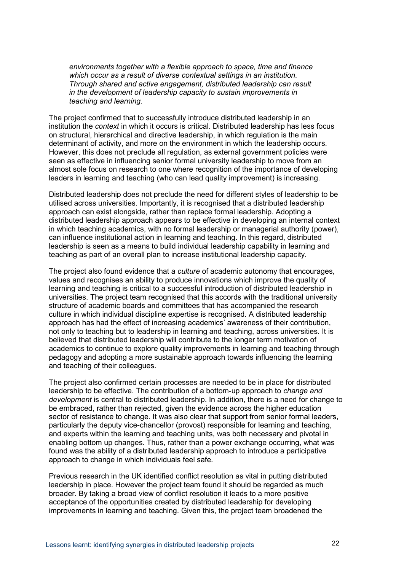*environments together with a flexible approach to space, time and finance which occur as a result of diverse contextual settings in an institution. Through shared and active engagement, distributed leadership can result in the development of leadership capacity to sustain improvements in teaching and learning.*

The project confirmed that to successfully introduce distributed leadership in an institution the *context* in which it occurs is critical. Distributed leadership has less focus on structural, hierarchical and directive leadership, in which regulation is the main determinant of activity, and more on the environment in which the leadership occurs. However, this does not preclude all regulation, as external government policies were seen as effective in influencing senior formal university leadership to move from an almost sole focus on research to one where recognition of the importance of developing leaders in learning and teaching (who can lead quality improvement) is increasing.

Distributed leadership does not preclude the need for different styles of leadership to be utilised across universities. Importantly, it is recognised that a distributed leadership approach can exist alongside, rather than replace formal leadership. Adopting a distributed leadership approach appears to be effective in developing an internal context in which teaching academics, with no formal leadership or managerial authority (power), can influence institutional action in learning and teaching. In this regard, distributed leadership is seen as a means to build individual leadership capability in learning and teaching as part of an overall plan to increase institutional leadership capacity.

The project also found evidence that a *culture* of academic autonomy that encourages, values and recognises an ability to produce innovations which improve the quality of learning and teaching is critical to a successful introduction of distributed leadership in universities. The project team recognised that this accords with the traditional university structure of academic boards and committees that has accompanied the research culture in which individual discipline expertise is recognised. A distributed leadership approach has had the effect of increasing academics' awareness of their contribution, not only to teaching but to leadership in learning and teaching, across universities. It is believed that distributed leadership will contribute to the longer term motivation of academics to continue to explore quality improvements in learning and teaching through pedagogy and adopting a more sustainable approach towards influencing the learning and teaching of their colleagues.

The project also confirmed certain processes are needed to be in place for distributed leadership to be effective. The contribution of a bottom-up approach to *change and development* is central to distributed leadership. In addition, there is a need for change to be embraced, rather than rejected, given the evidence across the higher education sector of resistance to change. It was also clear that support from senior formal leaders, particularly the deputy vice-chancellor (provost) responsible for learning and teaching, and experts within the learning and teaching units, was both necessary and pivotal in enabling bottom up changes. Thus, rather than a power exchange occurring, what was found was the ability of a distributed leadership approach to introduce a participative approach to change in which individuals feel safe.

Previous research in the UK identified conflict resolution as vital in putting distributed leadership in place. However the project team found it should be regarded as much broader. By taking a broad view of conflict resolution it leads to a more positive acceptance of the opportunities created by distributed leadership for developing improvements in learning and teaching. Given this, the project team broadened the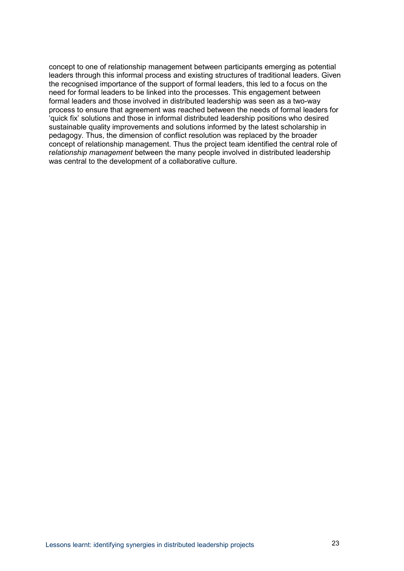concept to one of relationship management between participants emerging as potential leaders through this informal process and existing structures of traditional leaders. Given the recognised importance of the support of formal leaders, this led to a focus on the need for formal leaders to be linked into the processes. This engagement between formal leaders and those involved in distributed leadership was seen as a two-way process to ensure that agreement was reached between the needs of formal leaders for 'quick fix' solutions and those in informal distributed leadership positions who desired sustainable quality improvements and solutions informed by the latest scholarship in pedagogy. Thus, the dimension of conflict resolution was replaced by the broader concept of relationship management. Thus the project team identified the central role of r*elationship management* between the many people involved in distributed leadership was central to the development of a collaborative culture.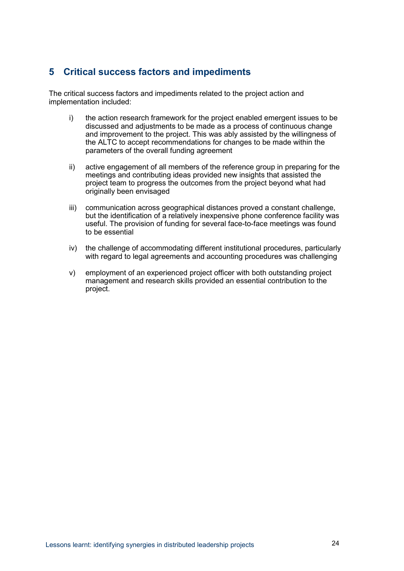# <span id="page-29-0"></span>**5 Critical success factors and impediments**

The critical success factors and impediments related to the project action and implementation included:

- i) the action research framework for the project enabled emergent issues to be discussed and adjustments to be made as a process of continuous change and improvement to the project. This was ably assisted by the willingness of the ALTC to accept recommendations for changes to be made within the parameters of the overall funding agreement
- ii) active engagement of all members of the reference group in preparing for the meetings and contributing ideas provided new insights that assisted the project team to progress the outcomes from the project beyond what had originally been envisaged
- iii) communication across geographical distances proved a constant challenge, but the identification of a relatively inexpensive phone conference facility was useful. The provision of funding for several face-to-face meetings was found to be essential
- iv) the challenge of accommodating different institutional procedures, particularly with regard to legal agreements and accounting procedures was challenging
- v) employment of an experienced project officer with both outstanding project management and research skills provided an essential contribution to the project.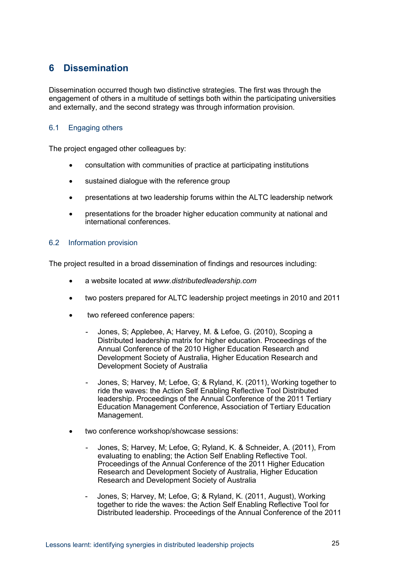# <span id="page-30-0"></span>**6 Dissemination**

Dissemination occurred though two distinctive strategies. The first was through the engagement of others in a multitude of settings both within the participating universities and externally, and the second strategy was through information provision.

### <span id="page-30-1"></span>6.1 Engaging others

The project engaged other colleagues by:

- consultation with communities of practice at participating institutions
- sustained dialogue with the reference group
- presentations at two leadership forums within the ALTC leadership network
- presentations for the broader higher education community at national and international conferences.

#### <span id="page-30-2"></span>6.2 Information provision

The project resulted in a broad dissemination of findings and resources including:

- a website located at *www.distributedleadership.com*
- two posters prepared for ALTC leadership project meetings in 2010 and 2011
- two refereed conference papers:
	- Jones, S; Applebee, A; Harvey, M. & Lefoe, G. (2010), Scoping a Distributed leadership matrix for higher education. Proceedings of the Annual Conference of the 2010 Higher Education Research and Development Society of Australia, Higher Education Research and Development Society of Australia
	- Jones, S; Harvey, M; Lefoe, G; & Ryland, K. (2011), Working together to ride the waves: the Action Self Enabling Reflective Tool Distributed leadership. Proceedings of the Annual Conference of the 2011 Tertiary Education Management Conference, Association of Tertiary Education Management.
- two conference workshop/showcase sessions:
	- Jones, S; Harvey, M; Lefoe, G; Ryland, K. & Schneider, A. (2011), From evaluating to enabling; the Action Self Enabling Reflective Tool. Proceedings of the Annual Conference of the 2011 Higher Education Research and Development Society of Australia, Higher Education Research and Development Society of Australia
	- Jones, S; Harvey, M; Lefoe, G; & Ryland, K. (2011, August), Working together to ride the waves: the Action Self Enabling Reflective Tool for Distributed leadership. Proceedings of the Annual Conference of the 2011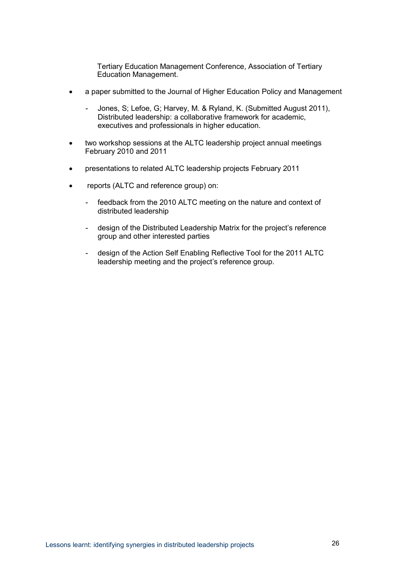Tertiary Education Management Conference, Association of Tertiary Education Management.

- a paper submitted to the Journal of Higher Education Policy and Management
	- Jones, S; Lefoe, G; Harvey, M. & Ryland, K. (Submitted August 2011), Distributed leadership: a collaborative framework for academic, executives and professionals in higher education.
- two workshop sessions at the ALTC leadership project annual meetings February 2010 and 2011
- presentations to related ALTC leadership projects February 2011
- reports (ALTC and reference group) on:
	- feedback from the 2010 ALTC meeting on the nature and context of distributed leadership
	- design of the Distributed Leadership Matrix for the project's reference group and other interested parties
	- design of the Action Self Enabling Reflective Tool for the 2011 ALTC leadership meeting and the project's reference group.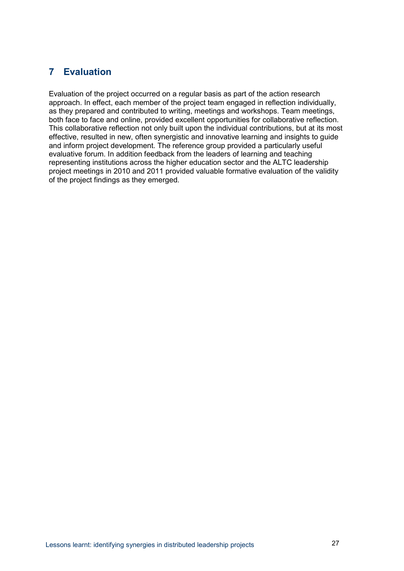# <span id="page-32-0"></span>**7 Evaluation**

Evaluation of the project occurred on a regular basis as part of the action research approach. In effect, each member of the project team engaged in reflection individually, as they prepared and contributed to writing, meetings and workshops. Team meetings, both face to face and online, provided excellent opportunities for collaborative reflection. This collaborative reflection not only built upon the individual contributions, but at its most effective, resulted in new, often synergistic and innovative learning and insights to guide and inform project development. The reference group provided a particularly useful evaluative forum. In addition feedback from the leaders of learning and teaching representing institutions across the higher education sector and the ALTC leadership project meetings in 2010 and 2011 provided valuable formative evaluation of the validity of the project findings as they emerged.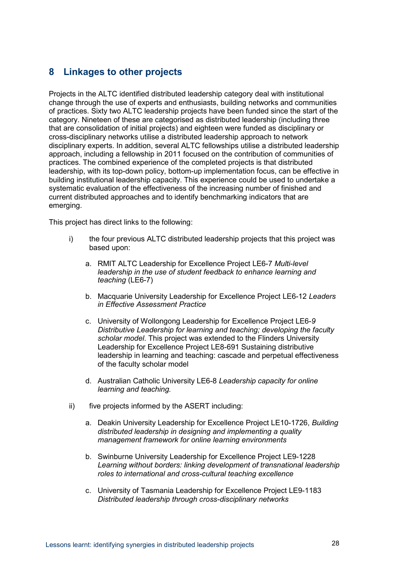## <span id="page-33-0"></span>**8 Linkages to other projects**

Projects in the ALTC identified distributed leadership category deal with institutional change through the use of experts and enthusiasts, building networks and communities of practices. Sixty two ALTC leadership projects have been funded since the start of the category. Nineteen of these are categorised as distributed leadership (including three that are consolidation of initial projects) and eighteen were funded as disciplinary or cross-disciplinary networks utilise a distributed leadership approach to network disciplinary experts. In addition, several ALTC fellowships utilise a distributed leadership approach, including a fellowship in 2011 focused on the contribution of communities of practices. The combined experience of the completed projects is that distributed leadership, with its top-down policy, bottom-up implementation focus, can be effective in building institutional leadership capacity. This experience could be used to undertake a systematic evaluation of the effectiveness of the increasing number of finished and current distributed approaches and to identify benchmarking indicators that are emerging.

This project has direct links to the following:

- i) the four previous ALTC distributed leadership projects that this project was based upon:
	- a. RMIT ALTC Leadership for Excellence Project LE6-7 *Multi-level leadership in the use of student feedback to enhance learning and teaching* (LE6-7)
	- b. Macquarie University Leadership for Excellence Project LE6-12 *Leaders in Effective Assessment Practice*
	- c. University of Wollongong Leadership for Excellence Project LE6-*9 Distributive Leadership for learning and teaching; developing the faculty scholar model*. This project was extended to the Flinders University Leadership for Excellence Project LE8-691 Sustaining distributive leadership in learning and teaching: cascade and perpetual effectiveness of the faculty scholar model
	- d. Australian Catholic University LE6-8 *Leadership capacity for online learning and teaching.*
- ii) five projects informed by the ASERT including:
	- a. Deakin University Leadership for Excellence Project LE10-1726, *Building distributed leadership in designing and implementing a quality management framework for online learning environments*
	- b. Swinburne University Leadership for Excellence Project LE9-1228 *Learning without borders: linking development of transnational leadership roles to international and cross-cultural teaching excellence*
	- c. University of Tasmania Leadership for Excellence Project LE9-1183 *Distributed leadership through cross-disciplinary networks*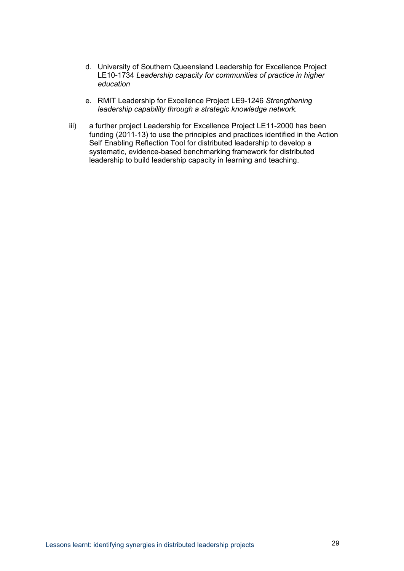- d. University of Southern Queensland Leadership for Excellence Project LE10-1734 *Leadership capacity for communities of practice in higher education*
- e. RMIT Leadership for Excellence Project LE9-1246 *Strengthening leadership capability through a strategic knowledge network.*
- iii) a further project Leadership for Excellence Project LE11-2000 has been funding (2011-13) to use the principles and practices identified in the Action Self Enabling Reflection Tool for distributed leadership to develop a systematic, evidence-based benchmarking framework for distributed leadership to build leadership capacity in learning and teaching.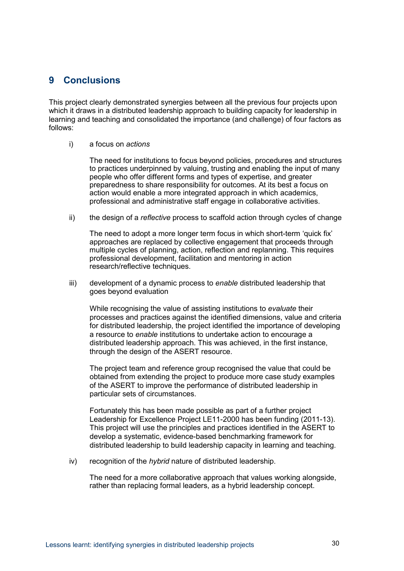## <span id="page-35-0"></span>**9 Conclusions**

This project clearly demonstrated synergies between all the previous four projects upon which it draws in a distributed leadership approach to building capacity for leadership in learning and teaching and consolidated the importance (and challenge) of four factors as follows:

i) a focus on *actions* 

The need for institutions to focus beyond policies, procedures and structures to practices underpinned by valuing, trusting and enabling the input of many people who offer different forms and types of expertise, and greater preparedness to share responsibility for outcomes. At its best a focus on action would enable a more integrated approach in which academics, professional and administrative staff engage in collaborative activities.

ii) the design of a *reflective* process to scaffold action through cycles of change

The need to adopt a more longer term focus in which short-term 'quick fix' approaches are replaced by collective engagement that proceeds through multiple cycles of planning, action, reflection and replanning. This requires professional development, facilitation and mentoring in action research/reflective techniques.

iii) development of a dynamic process to *enable* distributed leadership that goes beyond evaluation

While recognising the value of assisting institutions to *evaluate* their processes and practices against the identified dimensions, value and criteria for distributed leadership, the project identified the importance of developing a resource to *enable* institutions to undertake action to encourage a distributed leadership approach. This was achieved, in the first instance, through the design of the ASERT resource.

The project team and reference group recognised the value that could be obtained from extending the project to produce more case study examples of the ASERT to improve the performance of distributed leadership in particular sets of circumstances.

Fortunately this has been made possible as part of a further project Leadership for Excellence Project LE11-2000 has been funding (2011-13). This project will use the principles and practices identified in the ASERT to develop a systematic, evidence-based benchmarking framework for distributed leadership to build leadership capacity in learning and teaching.

iv) recognition of the *hybrid* nature of distributed leadership.

The need for a more collaborative approach that values working alongside, rather than replacing formal leaders, as a hybrid leadership concept.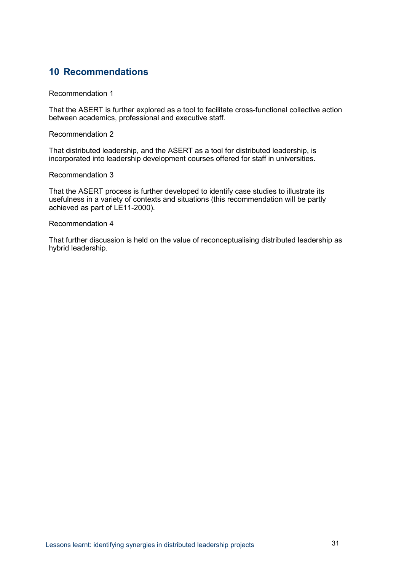## <span id="page-36-0"></span>**10 Recommendations**

Recommendation 1

That the ASERT is further explored as a tool to facilitate cross-functional collective action between academics, professional and executive staff.

Recommendation 2

That distributed leadership, and the ASERT as a tool for distributed leadership, is incorporated into leadership development courses offered for staff in universities.

Recommendation 3

That the ASERT process is further developed to identify case studies to illustrate its usefulness in a variety of contexts and situations (this recommendation will be partly achieved as part of LE11-2000).

Recommendation 4

That further discussion is held on the value of reconceptualising distributed leadership as hybrid leadership.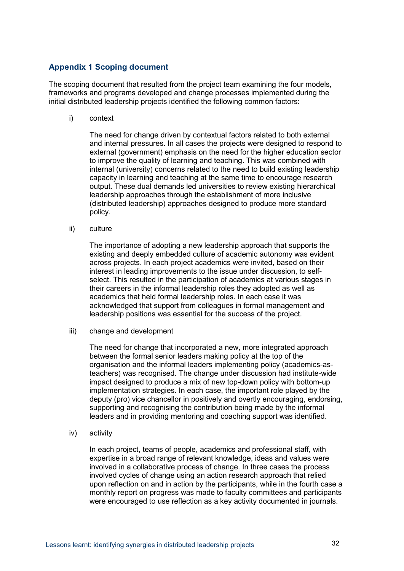### <span id="page-37-0"></span>**Appendix 1 Scoping document**

The scoping document that resulted from the project team examining the four models, frameworks and programs developed and change processes implemented during the initial distributed leadership projects identified the following common factors:

i) context

The need for change driven by contextual factors related to both external and internal pressures. In all cases the projects were designed to respond to external (government) emphasis on the need for the higher education sector to improve the quality of learning and teaching. This was combined with internal (university) concerns related to the need to build existing leadership capacity in learning and teaching at the same time to encourage research output. These dual demands led universities to review existing hierarchical leadership approaches through the establishment of more inclusive (distributed leadership) approaches designed to produce more standard policy.

ii) culture

The importance of adopting a new leadership approach that supports the existing and deeply embedded culture of academic autonomy was evident across projects. In each project academics were invited, based on their interest in leading improvements to the issue under discussion, to selfselect. This resulted in the participation of academics at various stages in their careers in the informal leadership roles they adopted as well as academics that held formal leadership roles. In each case it was acknowledged that support from colleagues in formal management and leadership positions was essential for the success of the project.

iii) change and development

The need for change that incorporated a new, more integrated approach between the formal senior leaders making policy at the top of the organisation and the informal leaders implementing policy (academics-asteachers) was recognised. The change under discussion had institute-wide impact designed to produce a mix of new top-down policy with bottom-up implementation strategies. In each case, the important role played by the deputy (pro) vice chancellor in positively and overtly encouraging, endorsing, supporting and recognising the contribution being made by the informal leaders and in providing mentoring and coaching support was identified.

iv) activity

In each project, teams of people, academics and professional staff, with expertise in a broad range of relevant knowledge, ideas and values were involved in a collaborative process of change. In three cases the process involved cycles of change using an action research approach that relied upon reflection on and in action by the participants, while in the fourth case a monthly report on progress was made to faculty committees and participants were encouraged to use reflection as a key activity documented in journals.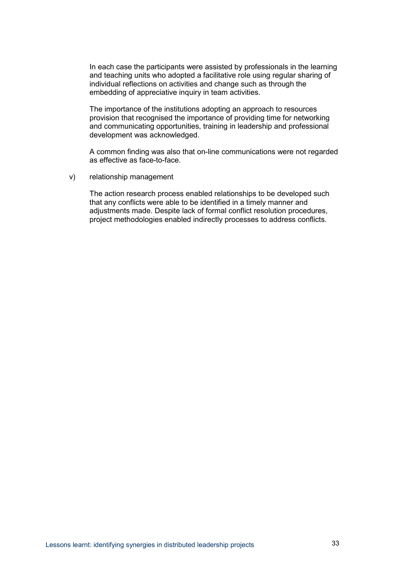In each case the participants were assisted by professionals in the learning and teaching units who adopted a facilitative role using regular sharing of individual reflections on activities and change such as through the embedding of appreciative inquiry in team activities.

The importance of the institutions adopting an approach to resources provision that recognised the importance of providing time for networking and communicating opportunities, training in leadership and professional development was acknowledged.

A common finding was also that on-line communications were not regarded as effective as face-to-face.

v) relationship management

The action research process enabled relationships to be developed such that any conflicts were able to be identified in a timely manner and adjustments made. Despite lack of formal conflict resolution procedures, project methodologies enabled indirectly processes to address conflicts.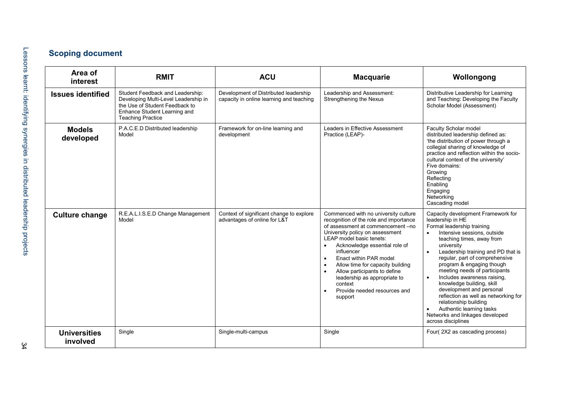# **Scoping document**

| Area of<br>interest             | <b>RMIT</b>                                                                                                                                                            | <b>ACU</b>                                                                        | <b>Macquarie</b>                                                                                                                                                                                                                                                                                                                                                                                                                                                          | Wollongong                                                                                                                                                                                                                                                                                                                                                                                                                                                                                                                                                      |
|---------------------------------|------------------------------------------------------------------------------------------------------------------------------------------------------------------------|-----------------------------------------------------------------------------------|---------------------------------------------------------------------------------------------------------------------------------------------------------------------------------------------------------------------------------------------------------------------------------------------------------------------------------------------------------------------------------------------------------------------------------------------------------------------------|-----------------------------------------------------------------------------------------------------------------------------------------------------------------------------------------------------------------------------------------------------------------------------------------------------------------------------------------------------------------------------------------------------------------------------------------------------------------------------------------------------------------------------------------------------------------|
| <b>Issues identified</b>        | Student Feedback and Leadership:<br>Developing Multi-Level Leadership in<br>the Use of Student Feedback to<br>Enhance Student Learning and<br><b>Teaching Practice</b> | Development of Distributed leadership<br>capacity in online learning and teaching | Leadership and Assessment:<br>Strengthening the Nexus                                                                                                                                                                                                                                                                                                                                                                                                                     | Distributive Leadership for Learning<br>and Teaching: Developing the Faculty<br>Scholar Model (Assessment)                                                                                                                                                                                                                                                                                                                                                                                                                                                      |
| <b>Models</b><br>developed      | P.A.C.E.D Distributed leadership<br>Model                                                                                                                              | Framework for on-line learning and<br>development                                 | Leaders in Effective Assessment<br>Practice (LEAP)-                                                                                                                                                                                                                                                                                                                                                                                                                       | Faculty Scholar model<br>distributed leadership defined as:<br>'the distribution of power through a<br>collegial sharing of knowledge of<br>practice and reflection within the socio-<br>cultural context of the university'<br>Five domains:<br>Growing<br>Reflecting<br>Enabling<br>Engaging<br>Networking<br>Cascading model                                                                                                                                                                                                                                 |
| <b>Culture change</b>           | R.E.A.L.I.S.E.D Change Management<br>Model                                                                                                                             | Context of significant change to explore<br>advantages of online for L&T          | Commenced with no university culture<br>recognition of the role and importance<br>of assessment at commencement -no<br>University policy on assessment<br>LEAP model basic tenets:<br>Acknowledge essential role of<br>$\bullet$<br>influencer<br>Enact within PAR model<br>$\bullet$<br>Allow time for capacity building<br>Allow participants to define<br>$\bullet$<br>leadership as appropriate to<br>context<br>Provide needed resources and<br>$\bullet$<br>support | Capacity development Framework for<br>leadership in HE<br>Formal leadership training<br>Intensive sessions, outside<br>$\bullet$<br>teaching times, away from<br>university<br>Leadership training and PD that is<br>regular, part of comprehensive<br>program & engaging though<br>meeting needs of participants<br>Includes awareness raising,<br>knowledge building, skill<br>development and personal<br>reflection as well as networking for<br>relationship building<br>Authentic learning tasks<br>Networks and linkages developed<br>across disciplines |
| <b>Universities</b><br>involved | Single                                                                                                                                                                 | Single-multi-campus                                                               | Single                                                                                                                                                                                                                                                                                                                                                                                                                                                                    | Four(2X2 as cascading process)                                                                                                                                                                                                                                                                                                                                                                                                                                                                                                                                  |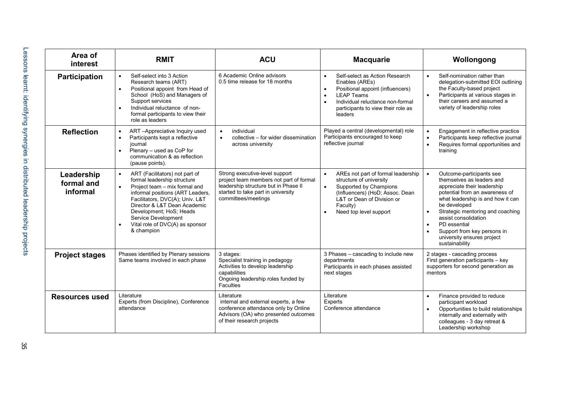| Area of<br><b>interest</b>           | <b>RMIT</b>                                                                                                                                                                                                                                                                                                                                     | <b>ACU</b>                                                                                                                                                                     | <b>Macquarie</b>                                                                                                                                                                                                                      | Wollongong                                                                                                                                                                                                                                                                                                                                                       |
|--------------------------------------|-------------------------------------------------------------------------------------------------------------------------------------------------------------------------------------------------------------------------------------------------------------------------------------------------------------------------------------------------|--------------------------------------------------------------------------------------------------------------------------------------------------------------------------------|---------------------------------------------------------------------------------------------------------------------------------------------------------------------------------------------------------------------------------------|------------------------------------------------------------------------------------------------------------------------------------------------------------------------------------------------------------------------------------------------------------------------------------------------------------------------------------------------------------------|
| <b>Participation</b>                 | Self-select into 3 Action<br>$\bullet$<br>Research teams (ART)<br>Positional appoint from Head of<br>School (HoS) and Managers of<br>Support services<br>Individual reluctance of non-<br>formal participants to view their<br>role as leaders                                                                                                  | 6 Academic Online advisors<br>0.5 time release for 18 months                                                                                                                   | Self-select as Action Research<br>$\bullet$<br>Enables (AREs)<br>Positional appoint (influencers)<br><b>LEAP Teams</b><br>Individual reluctance non-formal<br>participants to view their role as<br>leaders                           | Self-nomination rather than<br>delegation-submitted EOI outlining<br>the Faculty-based project<br>Participants at various stages in<br>$\bullet$<br>their careers and assumed a<br>variety of leadership roles                                                                                                                                                   |
| <b>Reflection</b>                    | ART-Appreciative Inquiry used<br>$\bullet$<br>Participants kept a reflective<br>$\bullet$<br>iournal<br>Plenary - used as CoP for<br>$\bullet$<br>communication & as reflection<br>(pause points).                                                                                                                                              | individual<br>$\bullet$<br>collective - for wider dissemination<br>$\bullet$<br>across university                                                                              | Played a central (developmental) role<br>Participants encouraged to keep<br>reflective journal                                                                                                                                        | Engagement in reflective practice<br>$\bullet$<br>Participants keep reflective journal<br>Requires formal opportunities and<br>$\bullet$<br>training                                                                                                                                                                                                             |
| Leadership<br>formal and<br>informal | ART (Facilitators) not part of<br>$\bullet$<br>formal leadership structure<br>Project team - mix formal and<br>$\bullet$<br>informal positions (ART Leaders,<br>Facilitators, DVC(A); Univ. L&T<br>Director & L&T Dean Academic<br>Development; HoS; Heads<br>Service Development<br>Vital role of DVC(A) as sponsor<br>$\bullet$<br>& champion | Strong executive-level support<br>project team members not part of formal<br>leadership structure but in Phase II<br>started to take part in university<br>committees/meetings | AREs not part of formal leadership<br>$\bullet$<br>structure of university<br>Supported by Champions<br>$\bullet$<br>(Influencers) (HoD; Assoc. Dean<br>L&T or Dean of Division or<br>Faculty)<br>Need top level support<br>$\bullet$ | Outcome-participants see<br>$\bullet$<br>themselves as leaders and<br>appreciate their leadership<br>potential from an awareness of<br>what leadership is and how it can<br>be developed<br>Strategic mentoring and coaching<br>$\bullet$<br>assist consolidation<br>PD essential<br>Support from key persons in<br>university ensures project<br>sustainability |
| <b>Project stages</b>                | Phases identified by Plenary sessions<br>Same teams involved in each phase                                                                                                                                                                                                                                                                      | 3 stages:<br>Specialist training in pedagogy<br>Activities to develop leadership<br>capabilities<br>Ongoing leadership roles funded by<br>Faculties                            | 3 Phases – cascading to include new<br>departments<br>Participants in each phases assisted<br>next stages                                                                                                                             | 2 stages - cascading process<br>First generation participants - key<br>supporters for second generation as<br>mentors                                                                                                                                                                                                                                            |
| <b>Resources used</b>                | Literature<br>Experts (from Discipline), Conference<br>attendance                                                                                                                                                                                                                                                                               | Literature<br>internal and external experts, a few<br>conference attendance only by Online<br>Advisors (OA) who presented outcomes<br>of their research projects               | Literature<br><b>Experts</b><br>Conference attendance                                                                                                                                                                                 | Finance provided to reduce<br>participant workload<br>Opportunities to build relationships<br>internally and externally with<br>colleagues - 3 day retreat &<br>Leadership workshop                                                                                                                                                                              |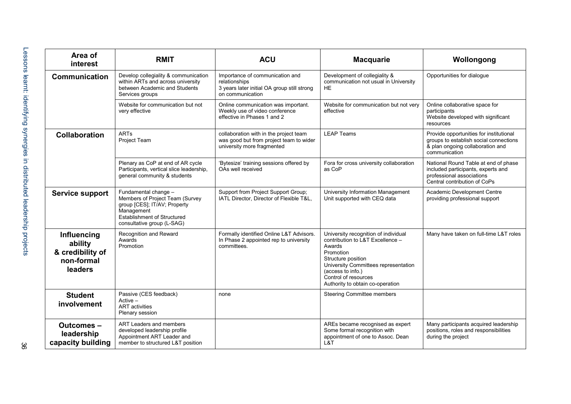| Area of<br>interest                                                 | <b>RMIT</b>                                                                                                                                                               | <b>ACU</b>                                                                                                          | <b>Macquarie</b>                                                                                                                                                                                                                               | Wollongong                                                                                                                              |
|---------------------------------------------------------------------|---------------------------------------------------------------------------------------------------------------------------------------------------------------------------|---------------------------------------------------------------------------------------------------------------------|------------------------------------------------------------------------------------------------------------------------------------------------------------------------------------------------------------------------------------------------|-----------------------------------------------------------------------------------------------------------------------------------------|
| <b>Communication</b>                                                | Develop collegiality & communication<br>within ARTs and across university<br>between Academic and Students<br>Services groups                                             | Importance of communication and<br>relationships<br>3 years later initial OA group still strong<br>on communication | Development of collegiality &<br>communication not usual in University<br><b>HE</b>                                                                                                                                                            | Opportunities for dialogue                                                                                                              |
|                                                                     | Website for communication but not<br>very effective                                                                                                                       | Online communication was important.<br>Weekly use of video conference<br>effective in Phases 1 and 2                | Website for communication but not very<br>effective                                                                                                                                                                                            | Online collaborative space for<br>participants<br>Website developed with significant<br>resources                                       |
| <b>Collaboration</b>                                                | <b>ARTs</b><br><b>Project Team</b>                                                                                                                                        | collaboration with in the project team<br>was good but from project team to wider<br>university more fragmented     | <b>LEAP Teams</b>                                                                                                                                                                                                                              | Provide opportunities for institutional<br>groups to establish social connections<br>& plan ongoing collaboration and<br>communication  |
|                                                                     | Plenary as CoP at end of AR cycle<br>Participants, vertical slice leadership,<br>general community & students                                                             | 'Bytesize' training sessions offered by<br>OAs well received                                                        | Fora for cross university collaboration<br>as CoP                                                                                                                                                                                              | National Round Table at end of phase<br>included participants, experts and<br>professional associations<br>Central contribution of CoPs |
| <b>Service support</b>                                              | Fundamental change -<br>Members of Project Team (Survey<br>group [CES]; IT/AV; Property<br>Management<br><b>Establishment of Structured</b><br>consultative group (L-SAG) | Support from Project Support Group;<br>IATL Director, Director of Flexible T&L,                                     | University Information Management<br>Unit supported with CEQ data                                                                                                                                                                              | Academic Development Centre<br>providing professional support                                                                           |
| Influencing<br>ability<br>& credibility of<br>non-formal<br>leaders | Recognition and Reward<br>Awards<br>Promotion                                                                                                                             | Formally identified Online L&T Advisors.<br>In Phase 2 appointed rep to university<br>committees.                   | University recognition of individual<br>contribution to L&T Excellence -<br>Awards<br>Promotion<br>Structure position<br>University Committees representation<br>(access to info.)<br>Control of resources<br>Authority to obtain co-operation | Many have taken on full-time L&T roles                                                                                                  |
| <b>Student</b><br>involvement                                       | Passive (CES feedback)<br>$Active -$<br><b>ART</b> activities<br>Plenary session                                                                                          | none                                                                                                                | Steering Committee members                                                                                                                                                                                                                     |                                                                                                                                         |
| <b>Outcomes-</b><br>leadership<br>capacity building                 | ART Leaders and members<br>developed leadership profile<br>Appointment ART Leader and<br>member to structured L&T position                                                |                                                                                                                     | AREs became recognised as expert<br>Some formal recognition with<br>appointment of one to Assoc. Dean<br>L&T                                                                                                                                   | Many participants acquired leadership<br>positions, roles and responsibilities<br>during the project                                    |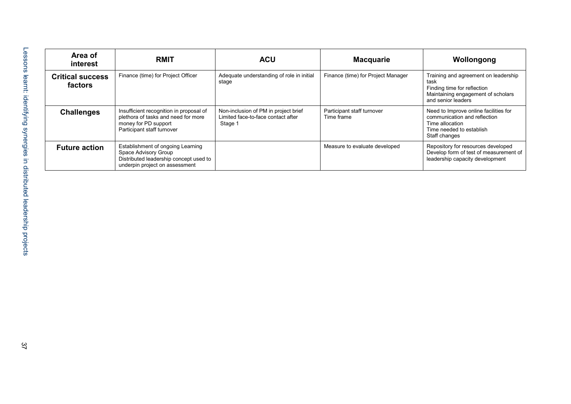| Area of<br>interest                | <b>RMIT</b>                                                                                                                           | <b>ACU</b>                                                                            | <b>Macquarie</b>                         | Wollongong                                                                                                                              |
|------------------------------------|---------------------------------------------------------------------------------------------------------------------------------------|---------------------------------------------------------------------------------------|------------------------------------------|-----------------------------------------------------------------------------------------------------------------------------------------|
| <b>Critical success</b><br>factors | Finance (time) for Project Officer                                                                                                    | Adequate understanding of role in initial<br>stage                                    | Finance (time) for Project Manager       | Training and agreement on leadership<br>task<br>Finding time for reflection<br>Maintaining engagement of scholars<br>and senior leaders |
| <b>Challenges</b>                  | Insufficient recognition in proposal of<br>plethora of tasks and need for more<br>money for PD support<br>Participant staff turnover  | Non-inclusion of PM in project brief<br>Limited face-to-face contact after<br>Stage 1 | Participant staff turnover<br>Time frame | Need to Improve online facilities for<br>communication and reflection<br>Time allocation<br>Time needed to establish<br>Staff changes   |
| <b>Future action</b>               | Establishment of ongoing Learning<br>Space Advisory Group<br>Distributed leadership concept used to<br>underpin project on assessment |                                                                                       | Measure to evaluate developed            | Repository for resources developed<br>Develop form of test of measurement of<br>leadership capacity development                         |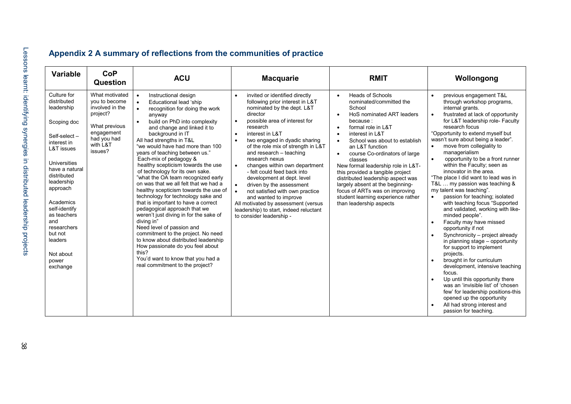<span id="page-43-0"></span>

| <b>Variable</b>                                                                                                                                                                                                                                                                                            | <b>CoP</b><br><b>Question</b>                                                                                                       | <b>ACU</b>                                                                                                                                                                                                                                                                                                                                                                                                                                                                                                                                                                                                                                                                                                                                                                                                                                                                                                                                                          | <b>Macquarie</b>                                                                                                                                                                                                                                                                                                                                                                                                                                                                                                                                                                                                                                                                 | <b>RMIT</b>                                                                                                                                                                                                                                                                                                                                                                                                                                                                                                                                                                        | Wollongong                                                                                                                                                                                                                                                                                                                                                                                                                                                                                                                                                                                                                                                                                                                                                                                                                                                                                                                                                                                                                                                                                                                                                                                      |
|------------------------------------------------------------------------------------------------------------------------------------------------------------------------------------------------------------------------------------------------------------------------------------------------------------|-------------------------------------------------------------------------------------------------------------------------------------|---------------------------------------------------------------------------------------------------------------------------------------------------------------------------------------------------------------------------------------------------------------------------------------------------------------------------------------------------------------------------------------------------------------------------------------------------------------------------------------------------------------------------------------------------------------------------------------------------------------------------------------------------------------------------------------------------------------------------------------------------------------------------------------------------------------------------------------------------------------------------------------------------------------------------------------------------------------------|----------------------------------------------------------------------------------------------------------------------------------------------------------------------------------------------------------------------------------------------------------------------------------------------------------------------------------------------------------------------------------------------------------------------------------------------------------------------------------------------------------------------------------------------------------------------------------------------------------------------------------------------------------------------------------|------------------------------------------------------------------------------------------------------------------------------------------------------------------------------------------------------------------------------------------------------------------------------------------------------------------------------------------------------------------------------------------------------------------------------------------------------------------------------------------------------------------------------------------------------------------------------------|-------------------------------------------------------------------------------------------------------------------------------------------------------------------------------------------------------------------------------------------------------------------------------------------------------------------------------------------------------------------------------------------------------------------------------------------------------------------------------------------------------------------------------------------------------------------------------------------------------------------------------------------------------------------------------------------------------------------------------------------------------------------------------------------------------------------------------------------------------------------------------------------------------------------------------------------------------------------------------------------------------------------------------------------------------------------------------------------------------------------------------------------------------------------------------------------------|
| Culture for<br>distributed<br>leadership<br>Scoping doc<br>Self-select-<br>interest in<br>L&T issues<br>Universities<br>have a natural<br>distributed<br>leadership<br>approach<br>Academics<br>self-identify<br>as teachers<br>and<br>researchers<br>but not<br>leaders<br>Not about<br>power<br>exchange | What motivated<br>you to become<br>involved in the<br>project?<br>What previous<br>engagement<br>had you had<br>with L&T<br>issues? | Instructional design<br>$\bullet$<br>Educational lead 'ship<br>$\bullet$<br>recognition for doing the work<br>$\bullet$<br>anyway<br>build on PhD into complexity<br>$\bullet$<br>and change and linked it to<br>background in IT<br>All had strengths in T&L<br>"we would have had more than 100<br>years of teaching between us."<br>Each-mix of pedagogy &<br>healthy scepticism towards the use<br>of technology for its own sake.<br>"what the OA team recognized early<br>on was that we all felt that we had a<br>healthy scepticism towards the use of<br>technology for technology sake and<br>that is important to have a correct<br>pedagogical approach that we<br>weren't just diving in for the sake of<br>diving in"<br>Need level of passion and<br>commitment to the project. No need<br>to know about distributed leadership<br>How passionate do you feel about<br>this?<br>You'd want to know that you had a<br>real commitment to the project? | invited or identified directly<br>$\bullet$<br>following prior interest in L&T<br>nominated by the dept. L&T<br>director<br>possible area of interest for<br>$\bullet$<br>research<br>interest in L&T<br>$\bullet$<br>$\bullet$<br>two engaged in dyadic sharing<br>of the role mix of strength in L&T<br>and research - teaching<br>research nexus<br>changes within own department<br>$\bullet$<br>- felt could feed back into<br>development at dept. level<br>driven by the assessment<br>$\bullet$<br>not satisfied with own practice<br>and wanted to improve<br>All motivated by assessment (versus<br>leadership) to start, indeed reluctant<br>to consider leadership - | <b>Heads of Schools</b><br>$\bullet$<br>nominated/committed the<br>School<br>HoS nominated ART leaders<br>$\bullet$<br>because:<br>formal role in L&T<br>$\bullet$<br>interest in L&T<br>$\bullet$<br>School was about to establish<br>$\bullet$<br>an L&T function<br>course Co-ordinators of large<br>$\bullet$<br>classes<br>New formal leadership role in L&T-<br>this provided a tangible project<br>distributed leadership aspect was<br>largely absent at the beginning-<br>focus of ARTs was on improving<br>student learning experience rather<br>than leadership aspects | previous engagement T&L<br>$\bullet$<br>through workshop programs,<br>internal grants.<br>frustrated at lack of opportunity<br>$\bullet$<br>for L&T leadership role- Faculty<br>research focus<br>"Opportunity to extend myself but<br>wasn't sure about being a leader".<br>move from collegiality to<br>$\bullet$<br>managerialism<br>opportunity to be a front runner<br>$\bullet$<br>within the Faculty; seen as<br>innovator in the area.<br>"The place I did want to lead was in<br>T&L  my passion was teaching &<br>my talent was teaching".<br>passion for teaching; isolated<br>$\bullet$<br>with teaching focus "Supported<br>and validated, working with like-<br>minded people".<br>Faculty may have missed<br>$\bullet$<br>opportunity if not<br>Synchronicity - project already<br>$\bullet$<br>in planning stage - opportunity<br>for support to implement<br>projects.<br>brought in for curriculum<br>$\bullet$<br>development, intensive teaching<br>focus.<br>Up until this opportunity there<br>$\bullet$<br>was an 'invisible list' of 'chosen<br>few' for leadership positions-this<br>opened up the opportunity<br>All had strong interest and<br>passion for teaching. |

# **Appendix 2 A summary of reflections from the communities of practice**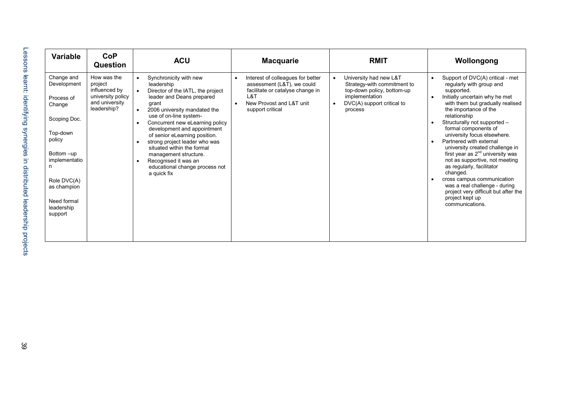| <b>CoP</b><br>Variable<br><b>Question</b>                                                                                                                                                                                                                                                          | <b>ACU</b>                                                                                                                                                                                                                                                                                                                                                                                                                                                                        | <b>Macquarie</b>                                                                                                                                           | <b>RMIT</b>                                                                                                                                    | Wollongong                                                                                                                                                                                                                                                                                                                                                                                                                                                                                                                                                                                                   |
|----------------------------------------------------------------------------------------------------------------------------------------------------------------------------------------------------------------------------------------------------------------------------------------------------|-----------------------------------------------------------------------------------------------------------------------------------------------------------------------------------------------------------------------------------------------------------------------------------------------------------------------------------------------------------------------------------------------------------------------------------------------------------------------------------|------------------------------------------------------------------------------------------------------------------------------------------------------------|------------------------------------------------------------------------------------------------------------------------------------------------|--------------------------------------------------------------------------------------------------------------------------------------------------------------------------------------------------------------------------------------------------------------------------------------------------------------------------------------------------------------------------------------------------------------------------------------------------------------------------------------------------------------------------------------------------------------------------------------------------------------|
| Change and<br>How was the<br>Development<br>project<br>influenced by<br>university policy<br>Process of<br>and university<br>Change<br>leadership?<br>Scoping Doc.<br>Top-down<br>policy<br>Bottom -up<br>implementatio<br>n<br>Role DVC(A)<br>as champion<br>Need formal<br>leadership<br>support | Synchronicity with new<br>$\bullet$<br>leadership<br>Director of the IATL, the project<br>leader and Deans prepared<br>grant<br>2006 university mandated the<br>use of on-line system-<br>Concurrent new eLearning policy<br>$\bullet$<br>development and appointment<br>of senior eLearning position.<br>strong project leader who was<br>٠<br>situated within the formal<br>management structure.<br>Recognised it was an<br>٠<br>educational change process not<br>a quick fix | Interest of colleagues for better<br>assessment (L&T), we could<br>facilitate or catalyse change in<br>L&T<br>New Provost and L&T unit<br>support critical | University had new L&T<br>Strategy-with commitment to<br>top-down policy, bottom-up<br>implementation<br>DVC(A) support critical to<br>process | Support of DVC(A) critical - met<br>regularly with group and<br>supported.<br>Initially uncertain why he met<br>with them but gradually realised<br>the importance of the<br>relationship<br>Structurally not supported -<br>formal components of<br>university focus elsewhere.<br>Partnered with external<br>university created challenge in<br>first year as $2nd$ university was<br>not as supportive, not meeting<br>as regularly, facilitator<br>changed.<br>cross campus communication<br>was a real challenge - during<br>project very difficult but after the<br>project kept up<br>communications. |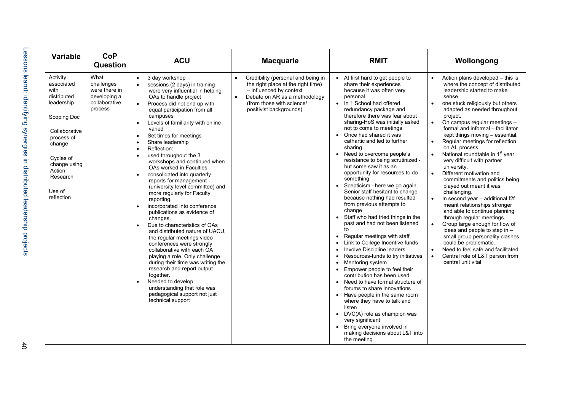| Variable                                                                                                                                                                                       | <b>CoP</b><br>Question                                                          | <b>ACU</b>                                                                                                                                                                                                                                                                                                                                                                                                                                                                                                                                                                                                                                                                                                                                                                                                                                                                                                                                                                                                                                  | <b>Macquarie</b>                                                                                                                                                                              | <b>RMIT</b>                                                                                                                                                                                                                                                                                                                                                                                                                                                                                                                                                                                                                                                                                                                                                                                                                                                                                                                                                                                                                                                                                                                                                                                                                                                                                         | Wollongong                                                                                                                                                                                                                                                                                                                                                                                                                                                                                                                                                                                                                                                                                                                                                                                                                                                                                                                                                                                                                                        |
|------------------------------------------------------------------------------------------------------------------------------------------------------------------------------------------------|---------------------------------------------------------------------------------|---------------------------------------------------------------------------------------------------------------------------------------------------------------------------------------------------------------------------------------------------------------------------------------------------------------------------------------------------------------------------------------------------------------------------------------------------------------------------------------------------------------------------------------------------------------------------------------------------------------------------------------------------------------------------------------------------------------------------------------------------------------------------------------------------------------------------------------------------------------------------------------------------------------------------------------------------------------------------------------------------------------------------------------------|-----------------------------------------------------------------------------------------------------------------------------------------------------------------------------------------------|-----------------------------------------------------------------------------------------------------------------------------------------------------------------------------------------------------------------------------------------------------------------------------------------------------------------------------------------------------------------------------------------------------------------------------------------------------------------------------------------------------------------------------------------------------------------------------------------------------------------------------------------------------------------------------------------------------------------------------------------------------------------------------------------------------------------------------------------------------------------------------------------------------------------------------------------------------------------------------------------------------------------------------------------------------------------------------------------------------------------------------------------------------------------------------------------------------------------------------------------------------------------------------------------------------|---------------------------------------------------------------------------------------------------------------------------------------------------------------------------------------------------------------------------------------------------------------------------------------------------------------------------------------------------------------------------------------------------------------------------------------------------------------------------------------------------------------------------------------------------------------------------------------------------------------------------------------------------------------------------------------------------------------------------------------------------------------------------------------------------------------------------------------------------------------------------------------------------------------------------------------------------------------------------------------------------------------------------------------------------|
| Activity<br>associated<br>with<br>distributed<br>leadership<br>Scoping Doc<br>Collaborative<br>process of<br>change<br>Cycles of<br>change using<br>Action<br>Research<br>Use of<br>reflection | What<br>challenges<br>were there in<br>developing a<br>collaborative<br>process | 3 day workshop<br>$\bullet$<br>sessions (2 days) in training<br>were very influential in helping<br>OAs to handle project<br>Process did not end up with<br>equal participation from all<br>campuses<br>Levels of familiarity with online<br>varied<br>Set times for meetings<br>$\bullet$<br>Share leadership<br>Reflection:<br>$\bullet$<br>used throughout the 3<br>workshops and continued when<br>OAs worked in Faculties.<br>consolidated into quarterly<br>reports for management<br>(university level committee) and<br>more regularly for Faculty<br>reporting.<br>incorporated into conference<br>publications as evidence of<br>changes.<br>Due to characteristics of OAs<br>and distributed nature of UACU.<br>the regular meetings video<br>conferences were strongly<br>collaborative with each OA<br>playing a role. Only challenge<br>during their time was writing the<br>research and report output<br>together.<br>Needed to develop<br>understanding that role was<br>pedagogical support not just<br>technical support | Credibility (personal and being in<br>the right place at the right time)<br>- influenced by context<br>Debate on AR as a methodology<br>(from those with science/<br>positivist backgrounds). | • At first hard to get people to<br>share their experiences<br>because it was often very<br>personal<br>In 1 School had offered<br>$\bullet$<br>redundancy package and<br>therefore there was fear about<br>sharing-HoS was initially asked<br>not to come to meetings<br>Once had shared it was<br>cathartic and led to further<br>sharing<br>Need to overcome people's<br>$\bullet$<br>resistance to being scrutinized -<br>but some saw it as an<br>opportunity for resources to do<br>something<br>Scepticism -here we go again.<br>$\bullet$<br>Senior staff hesitant to change<br>because nothing had resulted<br>from previous attempts to<br>change<br>Staff who had tried things in the<br>past and had not been listened<br>to<br>Regular meetings with staff<br>$\bullet$<br>Link to College Incentive funds<br>Involve Discipline leaders<br>Resources-funds to try initiatives<br>Mentoring system<br>Empower people to feel their<br>contribution has been used<br>Need to have formal structure of<br>forums to share innovations<br>Have people in the same room<br>$\bullet$<br>where they have to talk and<br>listen<br>DVC(A) role as champion was<br>$\bullet$<br>very significant<br>Bring everyone involved in<br>$\bullet$<br>making decisions about L&T into<br>the meeting | Action plans developed - this is<br>$\bullet$<br>where the concept of distributed<br>leadership started to make<br>sense<br>one stuck religiously but others<br>adapted as needed throughout<br>project.<br>On campus regular meetings -<br>$\bullet$<br>formal and informal - facilitator<br>kept things moving - essential.<br>Regular meetings for reflection<br>$\bullet$<br>on AL process.<br>National roundtable in 1 <sup>st</sup> year<br>$\bullet$<br>very difficult with partner<br>university.<br>Different motivation and<br>$\bullet$<br>commitments and politics being<br>played out meant it was<br>challenging.<br>In second year - additional f2f<br>$\bullet$<br>meant relationships stronger<br>and able to continue planning<br>through regular meetings.<br>Group large enough for flow of<br>$\bullet$<br>ideas and people to step in -<br>small group personality clashes<br>could be problematic.<br>Need to feel safe and facilitated<br>$\bullet$<br>Central role of L&T person from<br>$\bullet$<br>central unit vital |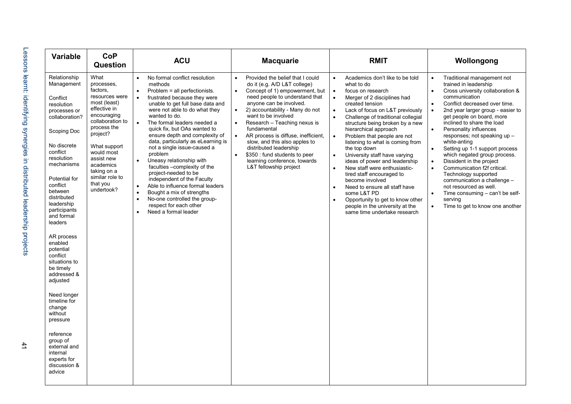| <b>Variable</b>                                                                                                                                                                                                                                                            | <b>CoP</b><br><b>Question</b>                                                                                                                                                                                                                                       | <b>ACU</b>                                                                                                                                                                                                                                                                                                                                                                                                                                                                                                                                                                                                                                                                                                                                                                  | <b>Macquarie</b>                                                                                                                                                                                                                                                                                                                                                                                                                                                                                                                                    | <b>RMIT</b>                                                                                                                                                                                                                                                                                                                                                                                                                                                                                                                                                                                                                                                                                                                                                   | Wollongong                                                                                                                                                                                                                                                                                                                                                                                                                                                                                                                                                                                                                                                                                                                                           |
|----------------------------------------------------------------------------------------------------------------------------------------------------------------------------------------------------------------------------------------------------------------------------|---------------------------------------------------------------------------------------------------------------------------------------------------------------------------------------------------------------------------------------------------------------------|-----------------------------------------------------------------------------------------------------------------------------------------------------------------------------------------------------------------------------------------------------------------------------------------------------------------------------------------------------------------------------------------------------------------------------------------------------------------------------------------------------------------------------------------------------------------------------------------------------------------------------------------------------------------------------------------------------------------------------------------------------------------------------|-----------------------------------------------------------------------------------------------------------------------------------------------------------------------------------------------------------------------------------------------------------------------------------------------------------------------------------------------------------------------------------------------------------------------------------------------------------------------------------------------------------------------------------------------------|---------------------------------------------------------------------------------------------------------------------------------------------------------------------------------------------------------------------------------------------------------------------------------------------------------------------------------------------------------------------------------------------------------------------------------------------------------------------------------------------------------------------------------------------------------------------------------------------------------------------------------------------------------------------------------------------------------------------------------------------------------------|------------------------------------------------------------------------------------------------------------------------------------------------------------------------------------------------------------------------------------------------------------------------------------------------------------------------------------------------------------------------------------------------------------------------------------------------------------------------------------------------------------------------------------------------------------------------------------------------------------------------------------------------------------------------------------------------------------------------------------------------------|
| Relationship<br>Management<br>Conflict<br>resolution<br>processes or<br>collaboration?<br>Scoping Doc<br>No discrete<br>conflict<br>resolution<br>mechanisms<br>Potential for<br>conflict<br>between<br>distributed<br>leadership<br>participants<br>and formal<br>leaders | What<br>processes,<br>factors,<br>resources were<br>most (least)<br>effective in<br>encouraging<br>collaboration to<br>process the<br>project?<br>What support<br>would most<br>assist new<br>academics<br>taking on a<br>similar role to<br>that you<br>undertook? | No formal conflict resolution<br>$\bullet$<br>methods<br>Problem = all perfectionists.<br>$\bullet$<br>frustrated because they were<br>$\bullet$<br>unable to get full base data and<br>were not able to do what they<br>wanted to do.<br>$\bullet$<br>The formal leaders needed a<br>quick fix, but OAs wanted to<br>ensure depth and complexity of<br>data, particularly as eLearning is<br>not a single issue-caused a<br>problem<br>Uneasy relationship with<br>$\bullet$<br>faculties - complexity of the<br>project-needed to be<br>independent of the Faculty<br>$\bullet$<br>Able to influence formal leaders<br>Bought a mix of strengths<br>$\bullet$<br>No-one controlled the group-<br>$\bullet$<br>respect for each other<br>Need a formal leader<br>$\bullet$ | Provided the belief that I could<br>$\bullet$<br>do it (e.g. A/D L&T college)<br>Concept of 1) empowerment, but<br>$\bullet$<br>need people to understand that<br>anyone can be involved.<br>2) accountability - Many do not<br>$\bullet$<br>want to be involved<br>Research - Teaching nexus is<br>$\bullet$<br>fundamental<br>AR process is diffuse, inefficient,<br>$\bullet$<br>slow, and this also apples to<br>distributed leadership<br>\$350 : fund students to peer<br>$\bullet$<br>learning conference, towards<br>L&T fellowship project | Academics don't like to be told<br>$\bullet$<br>what to do<br>focus on research<br>$\bullet$<br>$\bullet$<br>Merger of 2 disciplines had<br>created tension<br>Lack of focus on L&T previously<br>$\bullet$<br>Challenge of traditional collegial<br>$\bullet$<br>structure being broken by a new<br>hierarchical approach<br>Problem that people are not<br>$\bullet$<br>listening to what is coming from<br>the top down<br>University staff have varying<br>$\bullet$<br>ideas of power and leadership<br>New staff were enthusiastic-<br>$\bullet$<br>tired staff encouraged to<br>become involved<br>Need to ensure all staff have<br>some L&T PD<br>Opportunity to get to know other<br>people in the university at the<br>same time undertake research | Traditional management not<br>$\bullet$<br>trained in leadership<br>Cross university collaboration &<br>$\bullet$<br>communication<br>Conflict decreased over time.<br>$\bullet$<br>$\bullet$<br>2nd year larger group - easier to<br>get people on board, more<br>inclined to share the load<br>Personality influences<br>$\bullet$<br>responses; not speaking up -<br>white-anting<br>Setting up 1-1 support process<br>$\bullet$<br>which negated group process.<br>$\bullet$<br>Dissident in the project<br>$\bullet$<br>Communication f2f critical.<br>Technology supported<br>communication a challenge -<br>not resourced as well.<br>Time consuming – can't be self-<br>$\bullet$<br>serving<br>$\bullet$<br>Time to get to know one another |
| AR process<br>enabled<br>potential<br>conflict<br>situations to<br>be timely<br>addressed &<br>adjusted                                                                                                                                                                    |                                                                                                                                                                                                                                                                     |                                                                                                                                                                                                                                                                                                                                                                                                                                                                                                                                                                                                                                                                                                                                                                             |                                                                                                                                                                                                                                                                                                                                                                                                                                                                                                                                                     |                                                                                                                                                                                                                                                                                                                                                                                                                                                                                                                                                                                                                                                                                                                                                               |                                                                                                                                                                                                                                                                                                                                                                                                                                                                                                                                                                                                                                                                                                                                                      |
| Need longer<br>timeline for<br>change<br>without<br>pressure                                                                                                                                                                                                               |                                                                                                                                                                                                                                                                     |                                                                                                                                                                                                                                                                                                                                                                                                                                                                                                                                                                                                                                                                                                                                                                             |                                                                                                                                                                                                                                                                                                                                                                                                                                                                                                                                                     |                                                                                                                                                                                                                                                                                                                                                                                                                                                                                                                                                                                                                                                                                                                                                               |                                                                                                                                                                                                                                                                                                                                                                                                                                                                                                                                                                                                                                                                                                                                                      |
| reference<br>group of<br>external and<br>internal<br>experts for<br>discussion &<br>advice                                                                                                                                                                                 |                                                                                                                                                                                                                                                                     |                                                                                                                                                                                                                                                                                                                                                                                                                                                                                                                                                                                                                                                                                                                                                                             |                                                                                                                                                                                                                                                                                                                                                                                                                                                                                                                                                     |                                                                                                                                                                                                                                                                                                                                                                                                                                                                                                                                                                                                                                                                                                                                                               |                                                                                                                                                                                                                                                                                                                                                                                                                                                                                                                                                                                                                                                                                                                                                      |

 $41$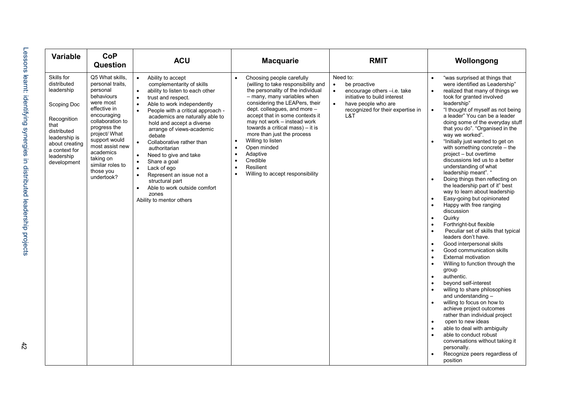| <b>Variable</b>                                                                                                                                                               | <b>CoP</b><br>Question                                                                                                                                                                                                                                                      | <b>ACU</b>                                                                                                                                                                                                                                                                                                                                                                                                                                                                                                                                                                                                                                    | <b>Macquarie</b>                                                                                                                                                                                                                                                                                                                                                                                                                                                                                                         | <b>RMIT</b>                                                                                                                                                                                       | Wollongong                                                                                                                                                                                                                                                                                                                                                                                                                                                                                                                                                                                                                                                                                                                                                                                                                                                                                                                                                                                                                                                                                                                                                                                                                                                                                                                                                                                                                                                                                                                             |
|-------------------------------------------------------------------------------------------------------------------------------------------------------------------------------|-----------------------------------------------------------------------------------------------------------------------------------------------------------------------------------------------------------------------------------------------------------------------------|-----------------------------------------------------------------------------------------------------------------------------------------------------------------------------------------------------------------------------------------------------------------------------------------------------------------------------------------------------------------------------------------------------------------------------------------------------------------------------------------------------------------------------------------------------------------------------------------------------------------------------------------------|--------------------------------------------------------------------------------------------------------------------------------------------------------------------------------------------------------------------------------------------------------------------------------------------------------------------------------------------------------------------------------------------------------------------------------------------------------------------------------------------------------------------------|---------------------------------------------------------------------------------------------------------------------------------------------------------------------------------------------------|----------------------------------------------------------------------------------------------------------------------------------------------------------------------------------------------------------------------------------------------------------------------------------------------------------------------------------------------------------------------------------------------------------------------------------------------------------------------------------------------------------------------------------------------------------------------------------------------------------------------------------------------------------------------------------------------------------------------------------------------------------------------------------------------------------------------------------------------------------------------------------------------------------------------------------------------------------------------------------------------------------------------------------------------------------------------------------------------------------------------------------------------------------------------------------------------------------------------------------------------------------------------------------------------------------------------------------------------------------------------------------------------------------------------------------------------------------------------------------------------------------------------------------------|
| Skills for<br>distributed<br>leadership<br>Scoping Doc<br>Recognition<br>that<br>distributed<br>leadership is<br>about creating<br>a context for<br>leadership<br>development | Q5 What skills,<br>personal traits.<br>personal<br>behaviours<br>were most<br>effective in<br>encouraging<br>collaboration to<br>progress the<br>project/ What<br>support would<br>most assist new<br>academics<br>taking on<br>similar roles to<br>those you<br>undertook? | Ability to accept<br>$\bullet$<br>complementarity of skills<br>ability to listen to each other<br>$\bullet$<br>trust and respect.<br>$\bullet$<br>Able to work independently<br>$\bullet$<br>People with a critical approach -<br>$\bullet$<br>academics are naturally able to<br>hold and accept a diverse<br>arrange of views-academic<br>debate<br>Collaborative rather than<br>authoritarian<br>Need to give and take<br>$\bullet$<br>Share a goal<br>$\bullet$<br>Lack of ego<br>$\bullet$<br>Represent an issue not a<br>$\bullet$<br>structural part<br>Able to work outside comfort<br>$\bullet$<br>zones<br>Ability to mentor others | Choosing people carefully<br>(willing to take responsibility and<br>the personality of the individual<br>- many, many variables when<br>considering the LEAPers, their<br>dept. colleagues, and more -<br>accept that in some contexts it<br>may not work – instead work<br>towards a critical mass) - it is<br>more than just the process<br>Willing to listen<br>$\bullet$<br>Open minded<br>Adaptive<br>$\bullet$<br>Credible<br>$\bullet$<br>Resilient<br>$\bullet$<br>Willing to accept responsibility<br>$\bullet$ | Need to:<br>be proactive<br>$\bullet$<br>$\bullet$<br>encourage others -i.e. take<br>initiative to build interest<br>$\bullet$<br>have people who are<br>recognized for their expertise in<br>L&T | "was surprised at things that<br>$\bullet$<br>were identified as Leadership"<br>realized that many of things we<br>$\bullet$<br>took for granted involved<br>leadership"<br>"I thought of myself as not being<br>$\bullet$<br>a leader" You can be a leader<br>doing some of the everyday stuff<br>that you do". "Organised in the<br>way we worked".<br>"Initially just wanted to get on<br>$\bullet$<br>with something concrete - the<br>project – but overtime<br>discussions led us to a better<br>understanding of what<br>leadership meant". "<br>Doing things then reflecting on<br>$\bullet$<br>the leadership part of it" best<br>way to learn about leadership<br>Easy-going but opinionated<br>$\bullet$<br>Happy with free ranging<br>$\bullet$<br>discussion<br>Quirky<br>$\bullet$<br>Forthright-but flexible<br>$\bullet$<br>Peculiar set of skills that typical<br>$\bullet$<br>leaders don't have.<br>Good interpersonal skills<br>$\bullet$<br>Good communication skills<br>$\bullet$<br><b>External motivation</b><br>Willing to function through the<br>$\bullet$<br>group<br>authentic.<br>$\bullet$<br>beyond self-interest<br>willing to share philosophies<br>$\bullet$<br>and understanding -<br>willing to focus on how to<br>$\bullet$<br>achieve project outcomes<br>rather than individual project<br>open to new ideas<br>$\bullet$<br>able to deal with ambiguity<br>able to conduct robust<br>$\bullet$<br>conversations without taking it<br>personally.<br>Recognize peers regardless of<br>position |

 $\frac{4}{2}$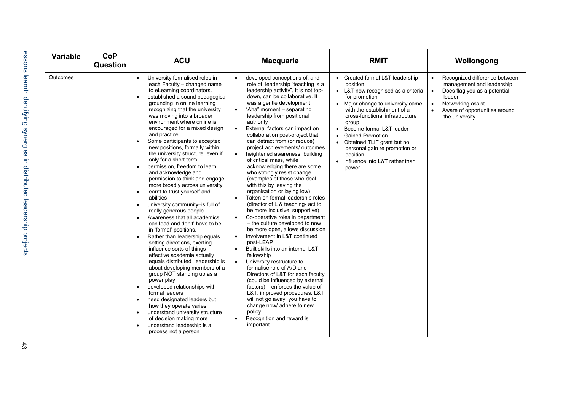| Variable | <b>CoP</b><br><b>Question</b> | <b>ACU</b>                                                                                                                                                                                                                                                                                                                                                                                                                                                                                                                                                                                                                                                                                                                                                                                                                                                                                                                                                                                                                                                                                                                                                                                                                                                                                                                                                                             | <b>Macquarie</b>                                                                                                                                                                                                                                                                                                                                                                                                                                                                                                                                                                                                                                                                                                                                                                                                                                                                                                                                                                                                                                                                                                                                                                                                                                                                                                 | <b>RMIT</b>                                                                                                                                                                                                                                                                                                                                                                                                  | Wollongong                                                                                                                                                                                                                       |
|----------|-------------------------------|----------------------------------------------------------------------------------------------------------------------------------------------------------------------------------------------------------------------------------------------------------------------------------------------------------------------------------------------------------------------------------------------------------------------------------------------------------------------------------------------------------------------------------------------------------------------------------------------------------------------------------------------------------------------------------------------------------------------------------------------------------------------------------------------------------------------------------------------------------------------------------------------------------------------------------------------------------------------------------------------------------------------------------------------------------------------------------------------------------------------------------------------------------------------------------------------------------------------------------------------------------------------------------------------------------------------------------------------------------------------------------------|------------------------------------------------------------------------------------------------------------------------------------------------------------------------------------------------------------------------------------------------------------------------------------------------------------------------------------------------------------------------------------------------------------------------------------------------------------------------------------------------------------------------------------------------------------------------------------------------------------------------------------------------------------------------------------------------------------------------------------------------------------------------------------------------------------------------------------------------------------------------------------------------------------------------------------------------------------------------------------------------------------------------------------------------------------------------------------------------------------------------------------------------------------------------------------------------------------------------------------------------------------------------------------------------------------------|--------------------------------------------------------------------------------------------------------------------------------------------------------------------------------------------------------------------------------------------------------------------------------------------------------------------------------------------------------------------------------------------------------------|----------------------------------------------------------------------------------------------------------------------------------------------------------------------------------------------------------------------------------|
| Outcomes |                               | University formalised roles in<br>$\bullet$<br>each Faculty - changed name<br>to eLearning coordinators.<br>established a sound pedagogical<br>grounding in online learning<br>recognizing that the university<br>was moving into a broader<br>environment where online is<br>encouraged for a mixed design<br>and practice.<br>Some participants to accepted<br>new positions, formally within<br>the university structure, even if<br>only for a short term<br>permission, freedom to learn<br>$\bullet$<br>and acknowledge and<br>permission to think and engage<br>more broadly across university<br>learnt to trust yourself and<br>$\bullet$<br>abilities<br>university community-is full of<br>$\bullet$<br>really generous people<br>Awareness that all academics<br>$\bullet$<br>can lead and don't' have to be<br>in 'formal' positions.<br>Rather than leadership equals<br>$\bullet$<br>setting directions, exerting<br>influence sorts of things -<br>effective academia actually<br>equals distributed leadership is<br>about developing members of a<br>group NOT standing up as a<br>power play<br>developed relationships with<br>$\bullet$<br>formal leaders<br>need designated leaders but<br>$\bullet$<br>how they operate varies<br>understand university structure<br>$\bullet$<br>of decision making more<br>understand leadership is a<br>process not a person | developed conceptions of, and<br>role of, leadership "teaching is a<br>leadership activity", it is not top-<br>down, can be collaborative. It<br>was a gentle development<br>"Aha" moment - separating<br>leadership from positional<br>authority<br>External factors can impact on<br>$\bullet$<br>collaboration post-project that<br>can detract from (or reduce)<br>project achievements/ outcomes<br>heightened awareness, building<br>$\bullet$<br>of critical mass, while<br>acknowledging there are some<br>who strongly resist change<br>(examples of those who deal<br>with this by leaving the<br>organisation or laying low)<br>Taken on formal leadership roles<br>$\bullet$<br>(director of L & teaching- act to<br>be more inclusive, supportive)<br>Co-operative roles in department<br>- the culture developed to now<br>be more open, allows discussion<br>Involvement in L&T continued<br>$\bullet$<br>post-LEAP<br>Built skills into an internal L&T<br>fellowship<br>University restructure to<br>formalise role of A/D and<br>Directors of L&T for each faculty<br>(could be influenced by external<br>factors) – enforces the value of<br>L&T, improved procedures. L&T<br>will not go away, you have to<br>change now/ adhere to new<br>policy.<br>Recognition and reward is<br>important | • Created formal L&T leadership<br>position<br>• L&T now recognised as a criteria<br>for promotion<br>• Major change to university came<br>with the establishment of a<br>cross-functional infrastructure<br>group<br>Become formal L&T leader<br><b>Gained Promotion</b><br>Obtained TLIF grant but no<br>personal gain re promotion or<br>position<br>Influence into L&T rather than<br>$\bullet$<br>power | Recognized difference between<br>$\bullet$<br>management and leadership<br>Does flag you as a potential<br>$\bullet$<br>leader<br>Networking assist<br>$\bullet$<br>Aware of opportunities around<br>$\bullet$<br>the university |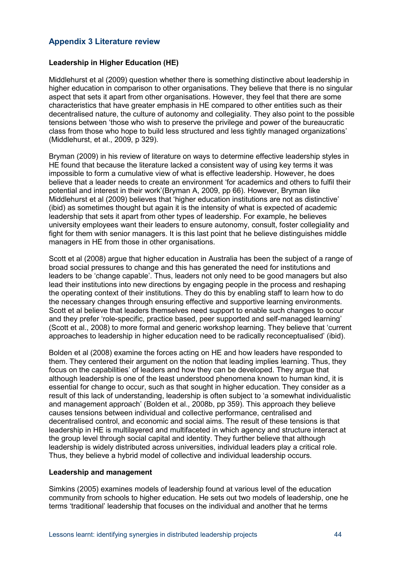### <span id="page-49-0"></span>**Appendix 3 Literature review**

### **Leadership in Higher Education (HE)**

Middlehurst et al (2009) question whether there is something distinctive about leadership in higher education in comparison to other organisations. They believe that there is no singular aspect that sets it apart from other organisations. However, they feel that there are some characteristics that have greater emphasis in HE compared to other entities such as their decentralised nature, the culture of autonomy and collegiality. They also point to the possible tensions between 'those who wish to preserve the privilege and power of the bureaucratic class from those who hope to build less structured and less tightly managed organizations' (Middlehurst, et al., 2009, p 329).

Bryman (2009) in his review of literature on ways to determine effective leadership styles in HE found that because the literature lacked a consistent way of using key terms it was impossible to form a cumulative view of what is effective leadership. However, he does believe that a leader needs to create an environment 'for academics and others to fulfil their potential and interest in their work'(Bryman A, 2009, pp 66). However, Bryman like Middlehurst et al (2009) believes that 'higher education institutions are not as distinctive' (ibid) as sometimes thought but again it is the intensity of what is expected of academic leadership that sets it apart from other types of leadership. For example, he believes university employees want their leaders to ensure autonomy, consult, foster collegiality and fight for them with senior managers. It is this last point that he believe distinguishes middle managers in HE from those in other organisations.

Scott et al (2008) argue that higher education in Australia has been the subject of a range of broad social pressures to change and this has generated the need for institutions and leaders to be 'change capable'. Thus, leaders not only need to be good managers but also lead their institutions into new directions by engaging people in the process and reshaping the operating context of their institutions. They do this by enabling staff to learn how to do the necessary changes through ensuring effective and supportive learning environments. Scott et al believe that leaders themselves need support to enable such changes to occur and they prefer 'role-specific, practice based, peer supported and self-managed learning' (Scott et al., 2008) to more formal and generic workshop learning. They believe that 'current approaches to leadership in higher education need to be radically reconceptualised' (ibid).

Bolden et al (2008) examine the forces acting on HE and how leaders have responded to them. They centered their argument on the notion that leading implies learning. Thus, they focus on the capabilities' of leaders and how they can be developed. They argue that although leadership is one of the least understood phenomena known to human kind, it is essential for change to occur, such as that sought in higher education. They consider as a result of this lack of understanding, leadership is often subject to 'a somewhat individualistic and management approach' (Bolden et al., 2008b, pp 359). This approach they believe causes tensions between individual and collective performance, centralised and decentralised control, and economic and social aims. The result of these tensions is that leadership in HE is multilayered and multifaceted in which agency and structure interact at the group level through social capital and identity. They further believe that although leadership is widely distributed across universities, individual leaders play a critical role. Thus, they believe a hybrid model of collective and individual leadership occurs.

#### **Leadership and management**

Simkins (2005) examines models of leadership found at various level of the education community from schools to higher education. He sets out two models of leadership, one he terms 'traditional' leadership that focuses on the individual and another that he terms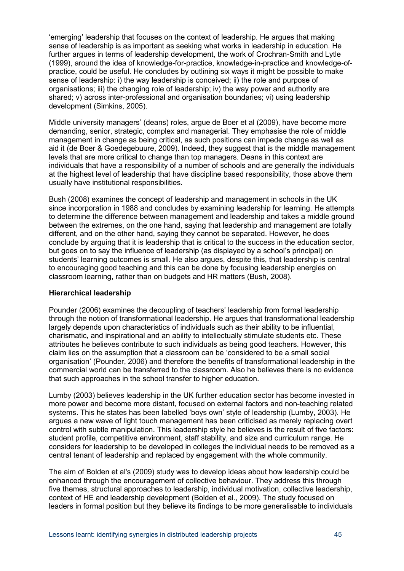'emerging' leadership that focuses on the context of leadership. He argues that making sense of leadership is as important as seeking what works in leadership in education. He further argues in terms of leadership development, the work of Crochran-Smith and Lytle (1999), around the idea of knowledge-for-practice, knowledge-in-practice and knowledge-ofpractice, could be useful. He concludes by outlining six ways it might be possible to make sense of leadership: i) the way leadership is conceived; ii) the role and purpose of organisations; iii) the changing role of leadership; iv) the way power and authority are shared; v) across inter-professional and organisation boundaries; vi) using leadership development (Simkins, 2005).

Middle university managers' (deans) roles, argue de Boer et al (2009), have become more demanding, senior, strategic, complex and managerial. They emphasise the role of middle management in change as being critical, as such positions can impede change as well as aid it (de Boer & Goedegebuure, 2009). Indeed, they suggest that is the middle management levels that are more critical to change than top managers. Deans in this context are individuals that have a responsibility of a number of schools and are generally the individuals at the highest level of leadership that have discipline based responsibility, those above them usually have institutional responsibilities.

Bush (2008) examines the concept of leadership and management in schools in the UK since incorporation in 1988 and concludes by examining leadership for learning. He attempts to determine the difference between management and leadership and takes a middle ground between the extremes, on the one hand, saying that leadership and management are totally different, and on the other hand, saying they cannot be separated. However, he does conclude by arguing that it is leadership that is critical to the success in the education sector, but goes on to say the influence of leadership (as displayed by a school's principal) on students' learning outcomes is small. He also argues, despite this, that leadership is central to encouraging good teaching and this can be done by focusing leadership energies on classroom learning, rather than on budgets and HR matters (Bush, 2008).

#### **Hierarchical leadership**

Pounder (2006) examines the decoupling of teachers' leadership from formal leadership through the notion of transformational leadership. He argues that transformational leadership largely depends upon characteristics of individuals such as their ability to be influential, charismatic, and inspirational and an ability to intellectually stimulate students etc. These attributes he believes contribute to such individuals as being good teachers. However, this claim lies on the assumption that a classroom can be 'considered to be a small social organisation' (Pounder, 2006) and therefore the benefits of transformational leadership in the commercial world can be transferred to the classroom. Also he believes there is no evidence that such approaches in the school transfer to higher education.

Lumby (2003) believes leadership in the UK further education sector has become invested in more power and become more distant, focused on external factors and non-teaching related systems. This he states has been labelled 'boys own' style of leadership (Lumby, 2003). He argues a new wave of light touch management has been criticised as merely replacing overt control with subtle manipulation. This leadership style he believes is the result of five factors: student profile, competitive environment, staff stability, and size and curriculum range. He considers for leadership to be developed in colleges the individual needs to be removed as a central tenant of leadership and replaced by engagement with the whole community.

The aim of Bolden et al's (2009) study was to develop ideas about how leadership could be enhanced through the encouragement of collective behaviour. They address this through five themes, structural approaches to leadership, individual motivation, collective leadership, context of HE and leadership development (Bolden et al., 2009). The study focused on leaders in formal position but they believe its findings to be more generalisable to individuals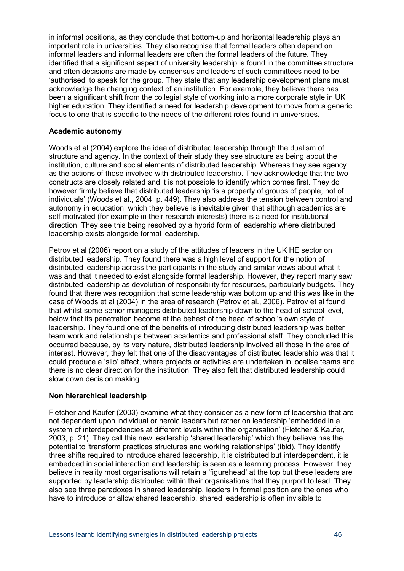in informal positions, as they conclude that bottom-up and horizontal leadership plays an important role in universities. They also recognise that formal leaders often depend on informal leaders and informal leaders are often the formal leaders of the future. They identified that a significant aspect of university leadership is found in the committee structure and often decisions are made by consensus and leaders of such committees need to be 'authorised' to speak for the group. They state that any leadership development plans must acknowledge the changing context of an institution. For example, they believe there has been a significant shift from the collegial style of working into a more corporate style in UK higher education. They identified a need for leadership development to move from a generic focus to one that is specific to the needs of the different roles found in universities.

#### **Academic autonomy**

Woods et al (2004) explore the idea of distributed leadership through the dualism of structure and agency. In the context of their study they see structure as being about the institution, culture and social elements of distributed leadership. Whereas they see agency as the actions of those involved with distributed leadership. They acknowledge that the two constructs are closely related and it is not possible to identify which comes first. They do however firmly believe that distributed leadership 'is a property of groups of people, not of individuals' (Woods et al., 2004, p. 449). They also address the tension between control and autonomy in education, which they believe is inevitable given that although academics are self-motivated (for example in their research interests) there is a need for institutional direction. They see this being resolved by a hybrid form of leadership where distributed leadership exists alongside formal leadership.

Petrov et al (2006) report on a study of the attitudes of leaders in the UK HE sector on distributed leadership. They found there was a high level of support for the notion of distributed leadership across the participants in the study and similar views about what it was and that it needed to exist alongside formal leadership. However, they report many saw distributed leadership as devolution of responsibility for resources, particularly budgets. They found that there was recognition that some leadership was bottom up and this was like in the case of Woods et al (2004) in the area of research (Petrov et al., 2006). Petrov et al found that whilst some senior managers distributed leadership down to the head of school level, below that its penetration become at the behest of the head of school's own style of leadership. They found one of the benefits of introducing distributed leadership was better team work and relationships between academics and professional staff. They concluded this occurred because, by its very nature, distributed leadership involved all those in the area of interest. However, they felt that one of the disadvantages of distributed leadership was that it could produce a 'silo' effect, where projects or activities are undertaken in localise teams and there is no clear direction for the institution. They also felt that distributed leadership could slow down decision making.

#### **Non hierarchical leadership**

Fletcher and Kaufer (2003) examine what they consider as a new form of leadership that are not dependent upon individual or heroic leaders but rather on leadership 'embedded in a system of interdependencies at different levels within the organisation' (Fletcher & Kaufer, 2003, p. 21). They call this new leadership 'shared leadership' which they believe has the potential to 'transform practices structures and working relationships' (ibid). They identify three shifts required to introduce shared leadership, it is distributed but interdependent, it is embedded in social interaction and leadership is seen as a learning process. However, they believe in reality most organisations will retain a 'figurehead' at the top but these leaders are supported by leadership distributed within their organisations that they purport to lead. They also see three paradoxes in shared leadership, leaders in formal position are the ones who have to introduce or allow shared leadership, shared leadership is often invisible to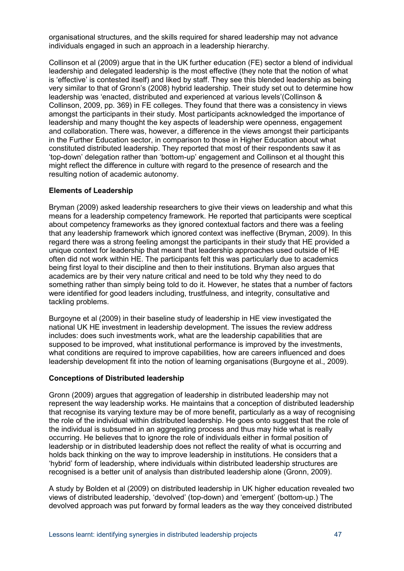organisational structures, and the skills required for shared leadership may not advance individuals engaged in such an approach in a leadership hierarchy.

Collinson et al (2009) argue that in the UK further education (FE) sector a blend of individual leadership and delegated leadership is the most effective (they note that the notion of what is 'effective' is contested itself) and liked by staff. They see this blended leadership as being very similar to that of Gronn's (2008) hybrid leadership. Their study set out to determine how leadership was 'enacted, distributed and experienced at various levels'(Collinson & Collinson, 2009, pp. 369) in FE colleges. They found that there was a consistency in views amongst the participants in their study. Most participants acknowledged the importance of leadership and many thought the key aspects of leadership were openness, engagement and collaboration. There was, however, a difference in the views amongst their participants in the Further Education sector, in comparison to those in Higher Education about what constituted distributed leadership. They reported that most of their respondents saw it as 'top-down' delegation rather than 'bottom-up' engagement and Collinson et al thought this might reflect the difference in culture with regard to the presence of research and the resulting notion of academic autonomy.

#### **Elements of Leadership**

Bryman (2009) asked leadership researchers to give their views on leadership and what this means for a leadership competency framework. He reported that participants were sceptical about competency frameworks as they ignored contextual factors and there was a feeling that any leadership framework which ignored context was ineffective (Bryman, 2009). In this regard there was a strong feeling amongst the participants in their study that HE provided a unique context for leadership that meant that leadership approaches used outside of HE often did not work within HE. The participants felt this was particularly due to academics being first loyal to their discipline and then to their institutions. Bryman also argues that academics are by their very nature critical and need to be told why they need to do something rather than simply being told to do it. However, he states that a number of factors were identified for good leaders including, trustfulness, and integrity, consultative and tackling problems.

Burgoyne et al (2009) in their baseline study of leadership in HE view investigated the national UK HE investment in leadership development. The issues the review address includes: does such investments work, what are the leadership capabilities that are supposed to be improved, what institutional performance is improved by the investments, what conditions are required to improve capabilities, how are careers influenced and does leadership development fit into the notion of learning organisations (Burgoyne et al., 2009).

#### **Conceptions of Distributed leadership**

Gronn (2009) argues that aggregation of leadership in distributed leadership may not represent the way leadership works. He maintains that a conception of distributed leadership that recognise its varying texture may be of more benefit, particularly as a way of recognising the role of the individual within distributed leadership. He goes onto suggest that the role of the individual is subsumed in an aggregating process and thus may hide what is really occurring. He believes that to ignore the role of individuals either in formal position of leadership or in distributed leadership does not reflect the reality of what is occurring and holds back thinking on the way to improve leadership in institutions. He considers that a 'hybrid' form of leadership, where individuals within distributed leadership structures are recognised is a better unit of analysis than distributed leadership alone (Gronn, 2009).

A study by Bolden et al (2009) on distributed leadership in UK higher education revealed two views of distributed leadership, 'devolved' (top-down) and 'emergent' (bottom-up.) The devolved approach was put forward by formal leaders as the way they conceived distributed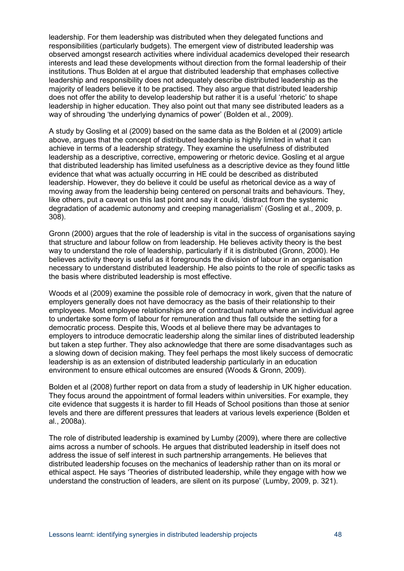leadership. For them leadership was distributed when they delegated functions and responsibilities (particularly budgets). The emergent view of distributed leadership was observed amongst research activities where individual academics developed their research interests and lead these developments without direction from the formal leadership of their institutions. Thus Bolden at el argue that distributed leadership that emphases collective leadership and responsibility does not adequately describe distributed leadership as the majority of leaders believe it to be practised. They also argue that distributed leadership does not offer the ability to develop leadership but rather it is a useful 'rhetoric' to shape leadership in higher education. They also point out that many see distributed leaders as a way of shrouding 'the underlying dynamics of power' (Bolden et al., 2009).

A study by Gosling et al (2009) based on the same data as the Bolden et al (2009) article above, argues that the concept of distributed leadership is highly limited in what it can achieve in terms of a leadership strategy. They examine the usefulness of distributed leadership as a descriptive, corrective, empowering or rhetoric device. Gosling et al argue that distributed leadership has limited usefulness as a descriptive device as they found little evidence that what was actually occurring in HE could be described as distributed leadership. However, they do believe it could be useful as rhetorical device as a way of moving away from the leadership being centered on personal traits and behaviours. They, like others, put a caveat on this last point and say it could, 'distract from the systemic degradation of academic autonomy and creeping managerialism' (Gosling et al., 2009, p. 308).

Gronn (2000) argues that the role of leadership is vital in the success of organisations saying that structure and labour follow on from leadership. He believes activity theory is the best way to understand the role of leadership, particularly if it is distributed (Gronn, 2000). He believes activity theory is useful as it foregrounds the division of labour in an organisation necessary to understand distributed leadership. He also points to the role of specific tasks as the basis where distributed leadership is most effective.

Woods et al (2009) examine the possible role of democracy in work, given that the nature of employers generally does not have democracy as the basis of their relationship to their employees. Most employee relationships are of contractual nature where an individual agree to undertake some form of labour for remuneration and thus fall outside the setting for a democratic process. Despite this, Woods et al believe there may be advantages to employers to introduce democratic leadership along the similar lines of distributed leadership but taken a step further. They also acknowledge that there are some disadvantages such as a slowing down of decision making. They feel perhaps the most likely success of democratic leadership is as an extension of distributed leadership particularly in an education environment to ensure ethical outcomes are ensured (Woods & Gronn, 2009).

Bolden et al (2008) further report on data from a study of leadership in UK higher education. They focus around the appointment of formal leaders within universities. For example, they cite evidence that suggests it is harder to fill Heads of School positions than those at senior levels and there are different pressures that leaders at various levels experience (Bolden et al., 2008a).

The role of distributed leadership is examined by Lumby (2009), where there are collective aims across a number of schools. He argues that distributed leadership in itself does not address the issue of self interest in such partnership arrangements. He believes that distributed leadership focuses on the mechanics of leadership rather than on its moral or ethical aspect. He says 'Theories of distributed leadership, while they engage with how we understand the construction of leaders, are silent on its purpose' (Lumby, 2009, p. 321).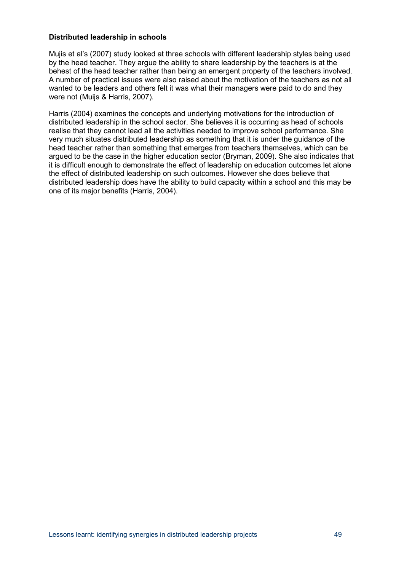### **Distributed leadership in schools**

Mujis et al's (2007) study looked at three schools with different leadership styles being used by the head teacher. They argue the ability to share leadership by the teachers is at the behest of the head teacher rather than being an emergent property of the teachers involved. A number of practical issues were also raised about the motivation of the teachers as not all wanted to be leaders and others felt it was what their managers were paid to do and they were not (Muijs & Harris, 2007).

Harris (2004) examines the concepts and underlying motivations for the introduction of distributed leadership in the school sector. She believes it is occurring as head of schools realise that they cannot lead all the activities needed to improve school performance. She very much situates distributed leadership as something that it is under the guidance of the head teacher rather than something that emerges from teachers themselves, which can be argued to be the case in the higher education sector (Bryman, 2009). She also indicates that it is difficult enough to demonstrate the effect of leadership on education outcomes let alone the effect of distributed leadership on such outcomes. However she does believe that distributed leadership does have the ability to build capacity within a school and this may be one of its major benefits (Harris, 2004).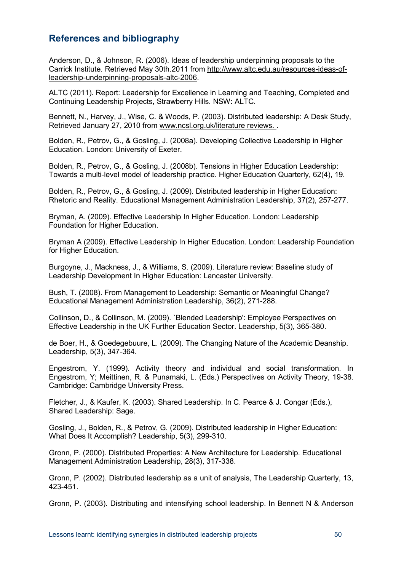## <span id="page-55-0"></span>**References and bibliography**

Anderson, D., & Johnson, R. (2006). Ideas of leadership underpinning proposals to the Carrick Institute. Retrieved May 30th.2011 from [http://www.altc.edu.au/resources-ideas-of](http://www.altc.edu.au/resources-ideas-of-leadership-underpinning-proposals-altc-2006)[leadership-underpinning-proposals-altc-2006.](http://www.altc.edu.au/resources-ideas-of-leadership-underpinning-proposals-altc-2006)

ALTC (2011). Report: Leadership for Excellence in Learning and Teaching, Completed and Continuing Leadership Projects, Strawberry Hills. NSW: ALTC.

Bennett, N., Harvey, J., Wise, C. & Woods, P. (2003). Distributed leadership: A Desk Study, Retrieved January 27, 2010 from [www.ncsl.org.uk/literature reviews. .](http://www.ncsl.org.uk/literature%20reviews.%20Retrieved%20January%2027,%202010)

Bolden, R., Petrov, G., & Gosling, J. (2008a). Developing Collective Leadership in Higher Education. London: University of Exeter.

Bolden, R., Petrov, G., & Gosling, J. (2008b). Tensions in Higher Education Leadership: Towards a multi-level model of leadership practice. Higher Education Quarterly, 62(4), 19.

Bolden, R., Petrov, G., & Gosling, J. (2009). Distributed leadership in Higher Education: Rhetoric and Reality. Educational Management Administration Leadership, 37(2), 257-277.

Bryman, A. (2009). Effective Leadership In Higher Education. London: Leadership Foundation for Higher Education.

Bryman A (2009). Effective Leadership In Higher Education. London: Leadership Foundation for Higher Education.

Burgoyne, J., Mackness, J., & Williams, S. (2009). Literature review: Baseline study of Leadership Development In Higher Education: Lancaster University.

Bush, T. (2008). From Management to Leadership: Semantic or Meaningful Change? Educational Management Administration Leadership, 36(2), 271-288.

Collinson, D., & Collinson, M. (2009). `Blended Leadership': Employee Perspectives on Effective Leadership in the UK Further Education Sector. Leadership, 5(3), 365-380.

de Boer, H., & Goedegebuure, L. (2009). The Changing Nature of the Academic Deanship. Leadership, 5(3), 347-364.

Engestrom, Y. (1999). Activity theory and individual and social transformation. In Engestrom, Y; Meittinen, R. & Punamaki, L. (Eds.) Perspectives on Activity Theory, 19-38. Cambridge: Cambridge University Press.

Fletcher, J., & Kaufer, K. (2003). Shared Leadership. In C. Pearce & J. Congar (Eds.), Shared Leadership: Sage.

Gosling, J., Bolden, R., & Petrov, G. (2009). Distributed leadership in Higher Education: What Does It Accomplish? Leadership, 5(3), 299-310.

Gronn, P. (2000). Distributed Properties: A New Architecture for Leadership. Educational Management Administration Leadership, 28(3), 317-338.

Gronn, P. (2002). Distributed leadership as a unit of analysis, The Leadership Quarterly, 13, 423-451.

Gronn, P. (2003). Distributing and intensifying school leadership. In Bennett N & Anderson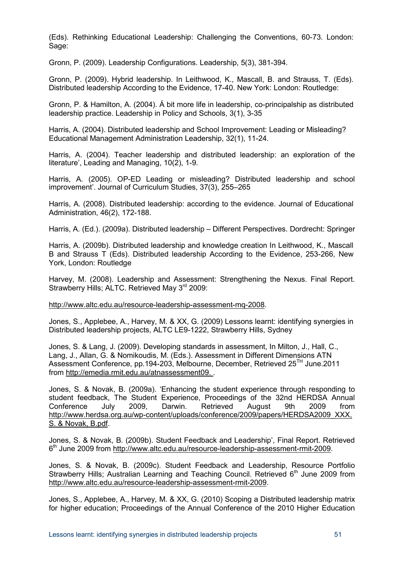(Eds). Rethinking Educational Leadership: Challenging the Conventions, 60-73. London: Sage:

Gronn, P. (2009). Leadership Configurations. Leadership, 5(3), 381-394.

Gronn, P. (2009). Hybrid leadership. In Leithwood, K., Mascall, B. and Strauss, T. (Eds). Distributed leadership According to the Evidence, 17-40. New York: London: Routledge:

Gronn, P. & Hamilton, A. (2004). Á bit more life in leadership, co-principalship as distributed leadership practice. Leadership in Policy and Schools, 3(1), 3-35

Harris, A. (2004). Distributed leadership and School Improvement: Leading or Misleading? Educational Management Administration Leadership, 32(1), 11-24.

Harris, A. (2004). Teacher leadership and distributed leadership: an exploration of the literature', Leading and Managing, 10(2), 1-9.

Harris, A. (2005). OP-ED Leading or misleading? Distributed leadership and school improvement'. Journal of Curriculum Studies, 37(3), 255–265

Harris, A. (2008). Distributed leadership: according to the evidence. Journal of Educational Administration, 46(2), 172-188.

Harris, A. (Ed.). (2009a). Distributed leadership – Different Perspectives. Dordrecht: Springer

Harris, A. (2009b). Distributed leadership and knowledge creation In Leithwood, K., Mascall B and Strauss T (Eds). Distributed leadership According to the Evidence, 253-266, New York, London: Routledge

Harvey, M. (2008). Leadership and Assessment: Strengthening the Nexus. Final Report. Strawberry Hills; ALTC. Retrieved May 3<sup>rd</sup> 2009:

[http://www.altc.edu.au/resource-leadership-assessment-mq-2008.](http://www.altc.edu.au/resource-leadership-assessment-mq-2008)

Jones, S., Applebee, A., Harvey, M. & XX, G. (2009) Lessons learnt: identifying synergies in Distributed leadership projects, ALTC LE9-1222, Strawberry Hills, Sydney

Jones, S. & Lang, J. (2009). Developing standards in assessment, In Milton, J., Hall, C., Lang, J., Allan, G. & Nomikoudis, M. (Eds.). Assessment in Different Dimensions ATN Assessment Conference, pp.194-203, Melbourne, December, Retrieved 25TH June.2011 from [http://emedia.rmit.edu.au/atnassessment09. .](http://emedia.rmit.edu.au/atnassessment09.%20Retrieved%2025.06.2011)

Jones, S. & Novak, B. (2009a). 'Enhancing the student experience through responding to student feedback, The Student Experience, Proceedings of the 32nd HERDSA Annual<br>Conference July 2009, Darwin. Retrieved August 9th 2009 from Conference July 2009, Darwin. Retrieved August 9th 2009 from [http://www.herdsa.org.au/wp-content/uploads/conference/2009/papers/HERDSA2009\\_XXX,](http://www.herdsa.org.au/wp-content/uploads/conference/2009/papers/HERDSA2009_Jones,%20S.%20&%20Novak,%20B.pdf)  [S. & Novak, B.pdf.](http://www.herdsa.org.au/wp-content/uploads/conference/2009/papers/HERDSA2009_Jones,%20S.%20&%20Novak,%20B.pdf)

Jones, S. & Novak, B. (2009b). Student Feedback and Leadership', Final Report. Retrieved  $6<sup>th</sup>$  June 2009 from [http://www.altc.edu.au/resource-leadership-assessment-rmit-2009.](http://www.altc.edu.au/resource-leadership-assessment-rmit-2009)

Jones, S. & Novak, B. (2009c). Student Feedback and Leadership, Resource Portfolio Strawberry Hills; Australian Learning and Teaching Council. Retrieved  $6<sup>th</sup>$  June 2009 from [http://www.altc.edu.au/resource-leadership-assessment-rmit-2009.](http://www.altc.edu.au/resource-leadership-assessment-rmit-2009)

Jones, S., Applebee, A., Harvey, M. & XX, G. (2010) Scoping a Distributed leadership matrix for higher education; Proceedings of the Annual Conference of the 2010 Higher Education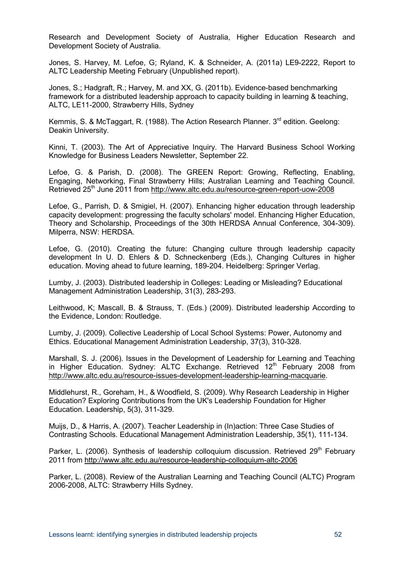Research and Development Society of Australia, Higher Education Research and Development Society of Australia.

Jones, S. Harvey, M. Lefoe, G; Ryland, K. & Schneider, A. (2011a) LE9-2222, Report to ALTC Leadership Meeting February (Unpublished report).

Jones, S.; Hadgraft, R.; Harvey, M. and XX, G. (2011b). Evidence-based benchmarking framework for a distributed leadership approach to capacity building in learning & teaching, ALTC, LE11-2000, Strawberry Hills, Sydney

Kemmis, S. & McTaggart, R. (1988). The Action Research Planner.  $3<sup>rd</sup>$  edition. Geelong: Deakin University.

Kinni, T. (2003). The Art of Appreciative Inquiry. The Harvard Business School Working Knowledge for Business Leaders Newsletter, September 22.

Lefoe, G. & Parish, D. (2008). The GREEN Report: Growing, Reflecting, Enabling, Engaging, Networking, Final Strawberry Hills; Australian Learning and Teaching Council. Retrieved 25<sup>th</sup> June 2011 from<http://www.altc.edu.au/resource-green-report-uow-2008>

Lefoe, G., Parrish, D. & Smigiel, H. (2007). Enhancing higher education through leadership capacity development: progressing the faculty scholars' model. Enhancing Higher Education, Theory and Scholarship, Proceedings of the 30th HERDSA Annual Conference, 304-309). Milperra, NSW: HERDSA.

Lefoe, G. (2010). Creating the future: Changing culture through leadership capacity development In U. D. Ehlers & D. Schneckenberg (Eds.), Changing Cultures in higher education. Moving ahead to future learning, 189-204. Heidelberg: Springer Verlag.

Lumby, J. (2003). Distributed leadership in Colleges: Leading or Misleading? Educational Management Administration Leadership, 31(3), 283-293.

Leithwood, K; Mascall, B. & Strauss, T. (Eds.) (2009). Distributed leadership According to the Evidence, London: Routledge.

Lumby, J. (2009). Collective Leadership of Local School Systems: Power, Autonomy and Ethics. Educational Management Administration Leadership, 37(3), 310-328.

Marshall, S. J. (2006). Issues in the Development of Leadership for Learning and Teaching in Higher Education. Sydney: ALTC Exchange. Retrieved  $12<sup>th</sup>$  February 2008 from [http://www.altc.edu.au/resource-issues-development-leadership-learning-macquarie.](http://www.altc.edu.au/resource-issues-development-leadership-learning-macquarie)

Middlehurst, R., Goreham, H., & Woodfield, S. (2009). Why Research Leadership in Higher Education? Exploring Contributions from the UK's Leadership Foundation for Higher Education. Leadership, 5(3), 311-329.

Muijs, D., & Harris, A. (2007). Teacher Leadership in (In)action: Three Case Studies of Contrasting Schools. Educational Management Administration Leadership, 35(1), 111-134.

Parker, L. (2006). Synthesis of leadership colloquium discussion. Retrieved 29<sup>th</sup> February 2011 from<http://www.altc.edu.au/resource-leadership-colloquium-altc-2006>

Parker, L. (2008). Review of the Australian Learning and Teaching Council (ALTC) Program 2006-2008, ALTC: Strawberry Hills Sydney.